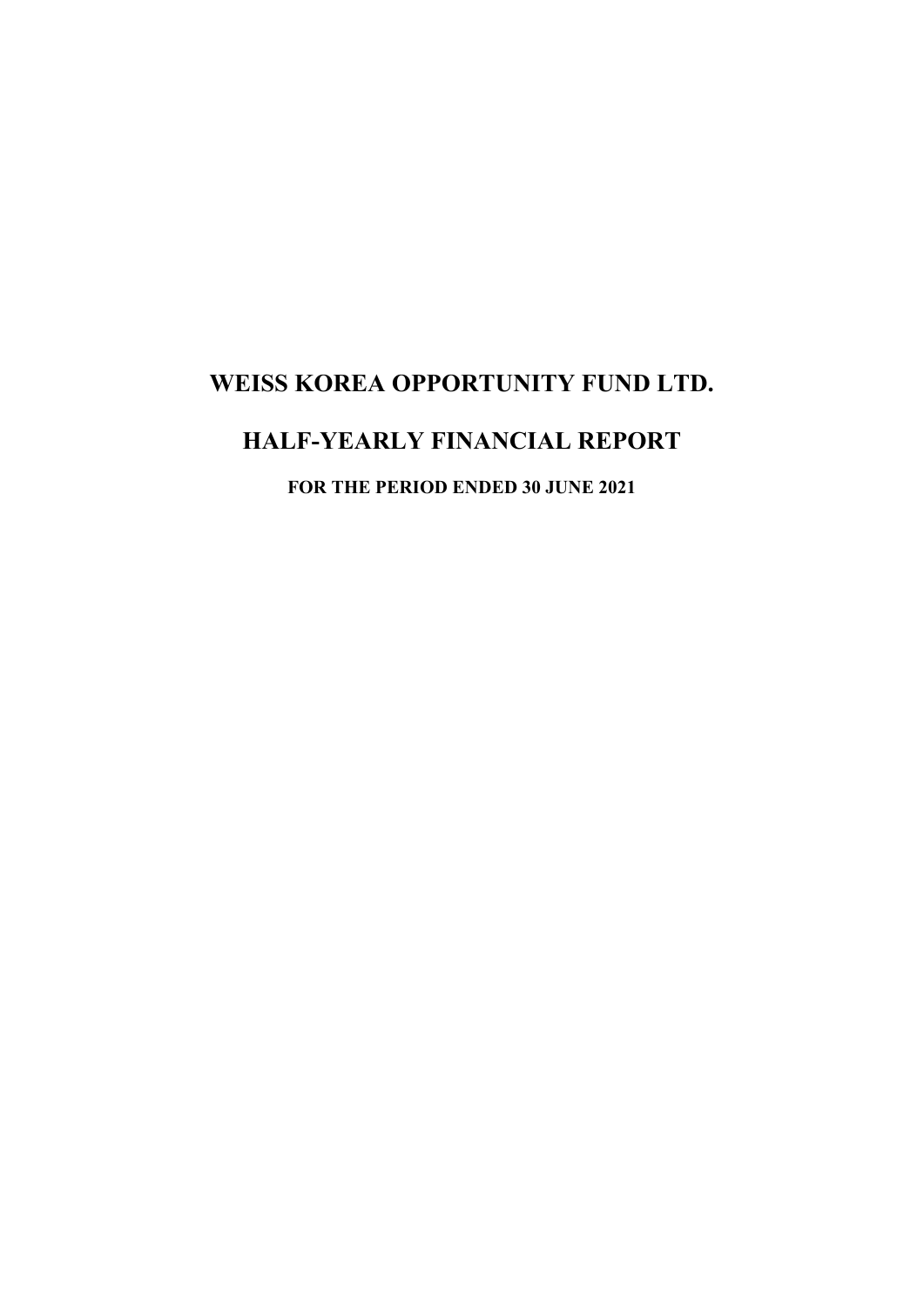# **HALF-YEARLY FINANCIAL REPORT**

**FOR THE PERIOD ENDED 30 JUNE 2021**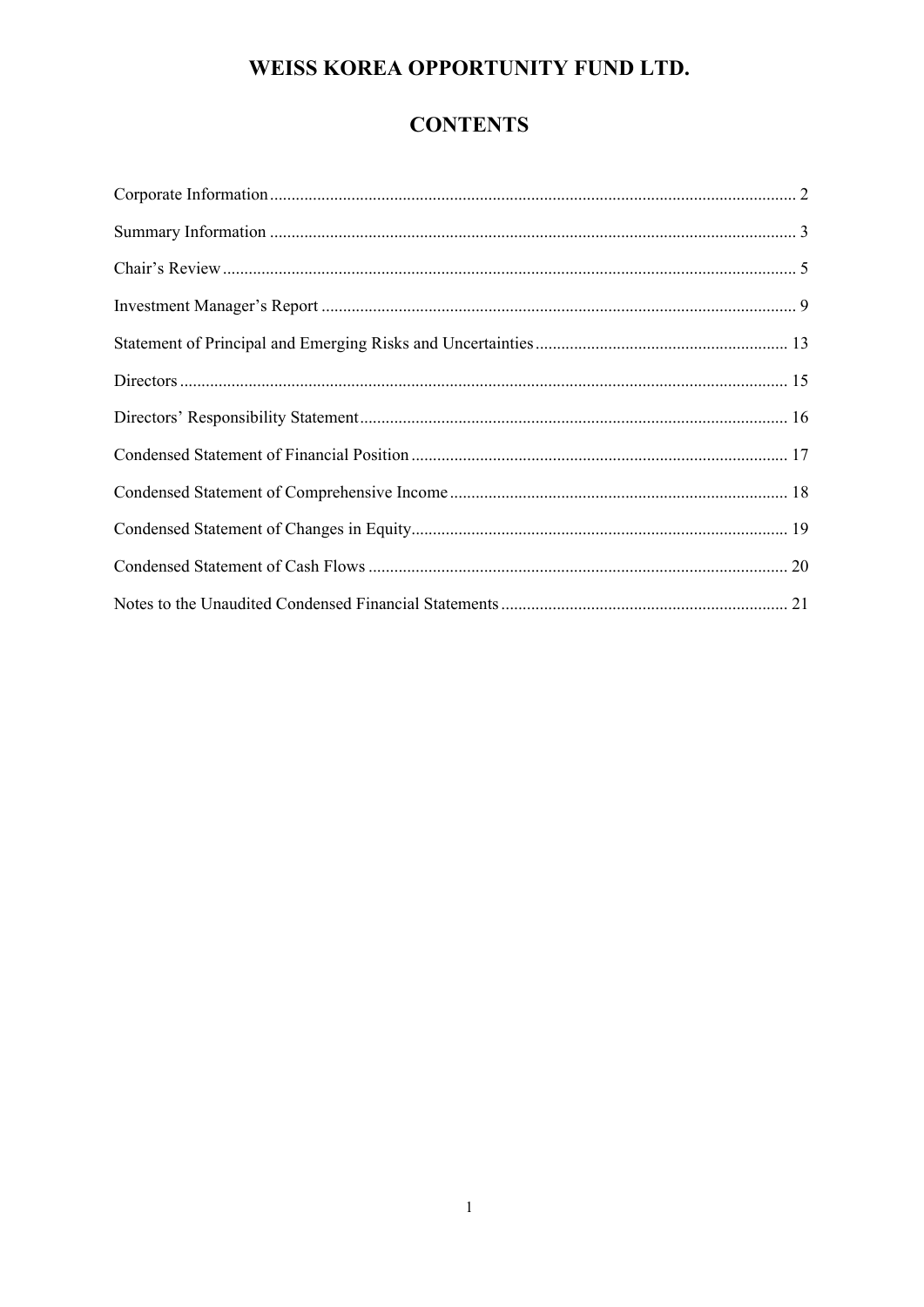# **CONTENTS**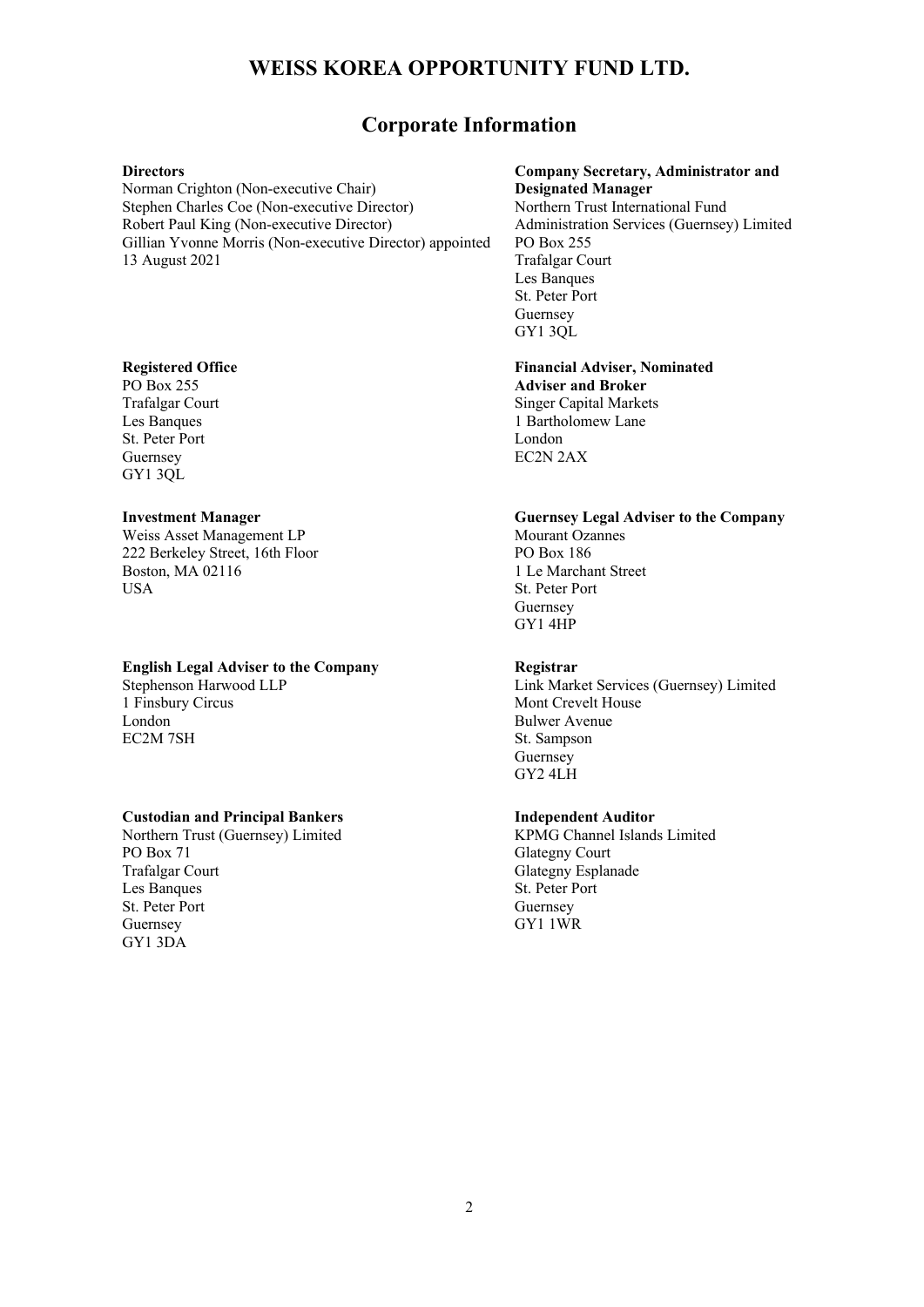## **Corporate Information**

#### **Directors**

Norman Crighton (Non-executive Chair) Stephen Charles Coe (Non-executive Director) Robert Paul King (Non-executive Director) Gillian Yvonne Morris (Non-executive Director) appointed 13 August 2021

### **Registered Office**

PO Box 255 Trafalgar Court Les Banques St. Peter Port Guernsey GY1 3QL

### **Investment Manager**

Weiss Asset Management LP 222 Berkeley Street, 16th Floor Boston, MA 02116 **USA** 

### **English Legal Adviser to the Company**

Stephenson Harwood LLP 1 Finsbury Circus London EC2M 7SH

### **Custodian and Principal Bankers**

Northern Trust (Guernsey) Limited PO Box 71 Trafalgar Court Les Banques St. Peter Port Guernsey GY1 3DA

### **Company Secretary, Administrator and Designated Manager**

Northern Trust International Fund Administration Services (Guernsey) Limited PO Box 255 Trafalgar Court Les Banques St. Peter Port Guernsey GY1 3QL

**Financial Adviser, Nominated Adviser and Broker**  Singer Capital Markets 1 Bartholomew Lane London

EC2N 2AX

### **Guernsey Legal Adviser to the Company**  Mourant Ozannes PO Box 186

1 Le Marchant Street St. Peter Port Guernsey GY1 4HP

### **Registrar**

Link Market Services (Guernsey) Limited Mont Crevelt House Bulwer Avenue St. Sampson **Guernsey** GY2 4LH

### **Independent Auditor**

KPMG Channel Islands Limited Glategny Court Glategny Esplanade St. Peter Port Guernsey GY1 1WR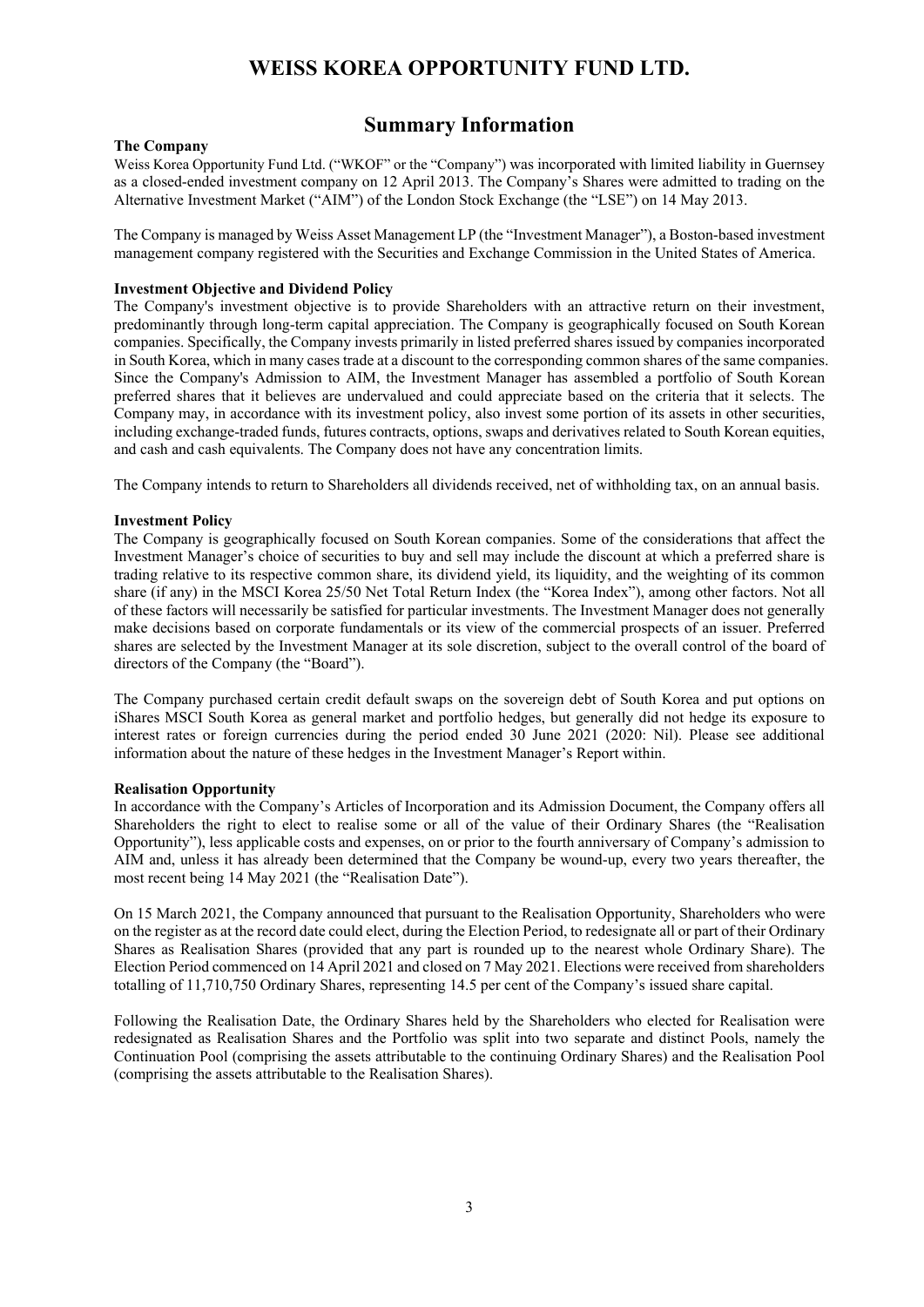## **Summary Information**

### **The Company**

Weiss Korea Opportunity Fund Ltd. ("WKOF" or the "Company") was incorporated with limited liability in Guernsey as a closed-ended investment company on 12 April 2013. The Company's Shares were admitted to trading on the Alternative Investment Market ("AIM") of the London Stock Exchange (the "LSE") on 14 May 2013.

The Company is managed by Weiss Asset Management LP (the "Investment Manager"), a Boston-based investment management company registered with the Securities and Exchange Commission in the United States of America.

#### **Investment Objective and Dividend Policy**

The Company's investment objective is to provide Shareholders with an attractive return on their investment, predominantly through long-term capital appreciation. The Company is geographically focused on South Korean companies. Specifically, the Company invests primarily in listed preferred shares issued by companies incorporated in South Korea, which in many cases trade at a discount to the corresponding common shares of the same companies. Since the Company's Admission to AIM, the Investment Manager has assembled a portfolio of South Korean preferred shares that it believes are undervalued and could appreciate based on the criteria that it selects. The Company may, in accordance with its investment policy, also invest some portion of its assets in other securities, including exchange-traded funds, futures contracts, options, swaps and derivatives related to South Korean equities, and cash and cash equivalents. The Company does not have any concentration limits.

The Company intends to return to Shareholders all dividends received, net of withholding tax, on an annual basis.

#### **Investment Policy**

The Company is geographically focused on South Korean companies. Some of the considerations that affect the Investment Manager's choice of securities to buy and sell may include the discount at which a preferred share is trading relative to its respective common share, its dividend yield, its liquidity, and the weighting of its common share (if any) in the MSCI Korea 25/50 Net Total Return Index (the "Korea Index"), among other factors. Not all of these factors will necessarily be satisfied for particular investments. The Investment Manager does not generally make decisions based on corporate fundamentals or its view of the commercial prospects of an issuer. Preferred shares are selected by the Investment Manager at its sole discretion, subject to the overall control of the board of directors of the Company (the "Board").

The Company purchased certain credit default swaps on the sovereign debt of South Korea and put options on iShares MSCI South Korea as general market and portfolio hedges, but generally did not hedge its exposure to interest rates or foreign currencies during the period ended 30 June 2021 (2020: Nil). Please see additional information about the nature of these hedges in the Investment Manager's Report within.

#### **Realisation Opportunity**

In accordance with the Company's Articles of Incorporation and its Admission Document, the Company offers all Shareholders the right to elect to realise some or all of the value of their Ordinary Shares (the "Realisation Opportunity"), less applicable costs and expenses, on or prior to the fourth anniversary of Company's admission to AIM and, unless it has already been determined that the Company be wound-up, every two years thereafter, the most recent being 14 May 2021 (the "Realisation Date").

On 15 March 2021, the Company announced that pursuant to the Realisation Opportunity, Shareholders who were on the register as at the record date could elect, during the Election Period, to redesignate all or part of their Ordinary Shares as Realisation Shares (provided that any part is rounded up to the nearest whole Ordinary Share). The Election Period commenced on 14 April 2021 and closed on 7 May 2021. Elections were received from shareholders totalling of 11,710,750 Ordinary Shares, representing 14.5 per cent of the Company's issued share capital.

Following the Realisation Date, the Ordinary Shares held by the Shareholders who elected for Realisation were redesignated as Realisation Shares and the Portfolio was split into two separate and distinct Pools, namely the Continuation Pool (comprising the assets attributable to the continuing Ordinary Shares) and the Realisation Pool (comprising the assets attributable to the Realisation Shares).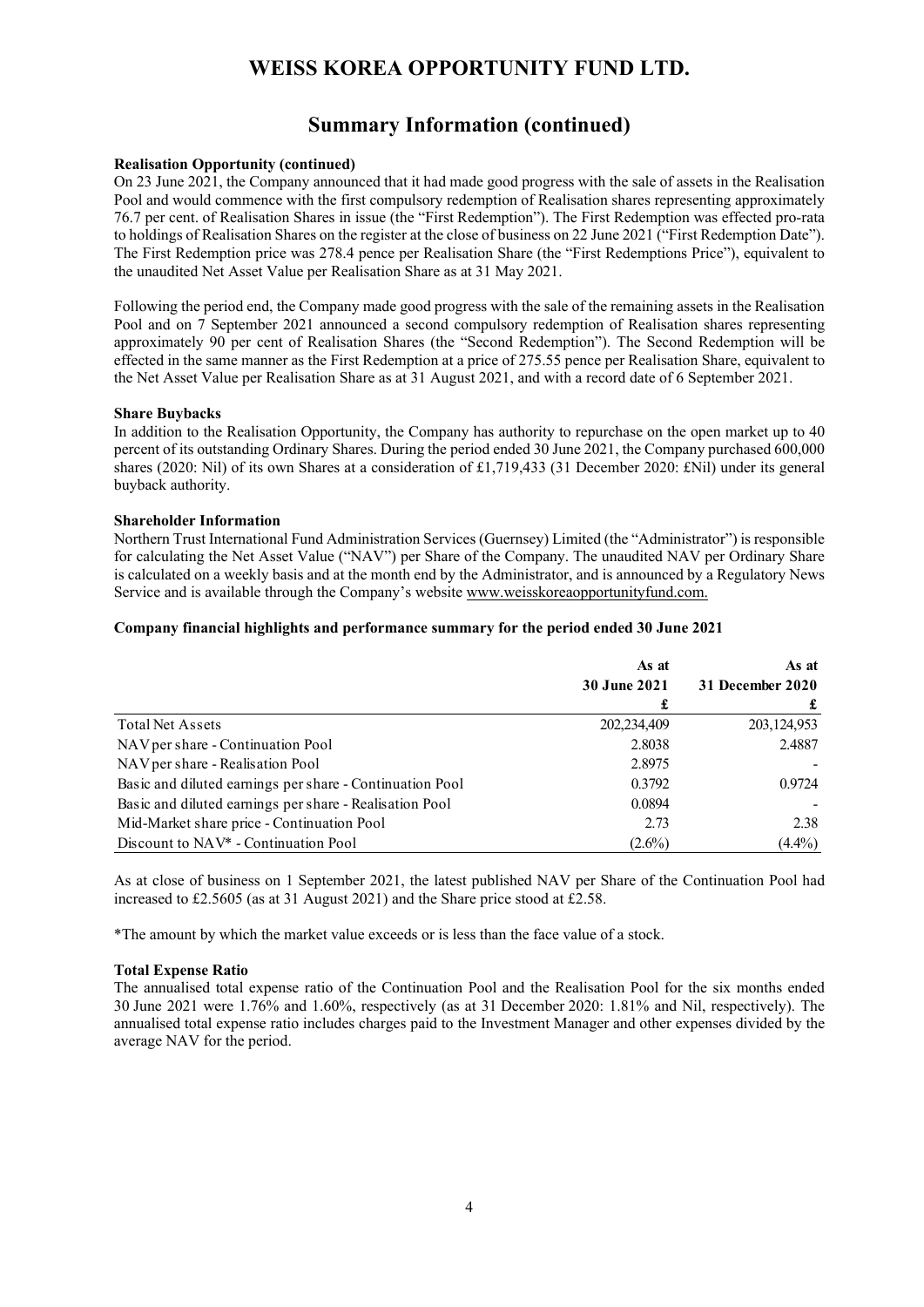## **Summary Information (continued)**

### **Realisation Opportunity (continued)**

On 23 June 2021, the Company announced that it had made good progress with the sale of assets in the Realisation Pool and would commence with the first compulsory redemption of Realisation shares representing approximately 76.7 per cent. of Realisation Shares in issue (the "First Redemption"). The First Redemption was effected pro-rata to holdings of Realisation Shares on the register at the close of business on 22 June 2021 ("First Redemption Date"). The First Redemption price was 278.4 pence per Realisation Share (the "First Redemptions Price"), equivalent to the unaudited Net Asset Value per Realisation Share as at 31 May 2021.

Following the period end, the Company made good progress with the sale of the remaining assets in the Realisation Pool and on 7 September 2021 announced a second compulsory redemption of Realisation shares representing approximately 90 per cent of Realisation Shares (the "Second Redemption"). The Second Redemption will be effected in the same manner as the First Redemption at a price of 275.55 pence per Realisation Share, equivalent to the Net Asset Value per Realisation Share as at 31 August 2021, and with a record date of 6 September 2021.

#### **Share Buybacks**

In addition to the Realisation Opportunity, the Company has authority to repurchase on the open market up to 40 percent of its outstanding Ordinary Shares. During the period ended 30 June 2021, the Company purchased 600,000 shares (2020: Nil) of its own Shares at a consideration of £1,719,433 (31 December 2020: £Nil) under its general buyback authority.

#### **Shareholder Information**

Northern Trust International Fund Administration Services (Guernsey) Limited (the "Administrator") is responsible for calculating the Net Asset Value ("NAV") per Share of the Company. The unaudited NAV per Ordinary Share is calculated on a weekly basis and at the month end by the Administrator, and is announced by a Regulatory News Service and is available through the Company's website www.weisskoreaopportunityfund.com.

### **Company financial highlights and performance summary for the period ended 30 June 2021**

|                                                          | As at               | As at            |
|----------------------------------------------------------|---------------------|------------------|
|                                                          | <b>30 June 2021</b> | 31 December 2020 |
|                                                          | £                   |                  |
| <b>Total Net Assets</b>                                  | 202,234,409         | 203,124,953      |
| NAV per share - Continuation Pool                        | 2.8038              | 2.4887           |
| NAV per share - Realisation Pool                         | 2.8975              |                  |
| Basic and diluted earnings per share - Continuation Pool | 0.3792              | 0.9724           |
| Basic and diluted earnings per share - Realisation Pool  | 0.0894              |                  |
| Mid-Market share price - Continuation Pool               | 2.73                | 2.38             |
| Discount to NAV <sup>*</sup> - Continuation Pool         | $(2.6\%)$           | $(4.4\%)$        |

As at close of business on 1 September 2021, the latest published NAV per Share of the Continuation Pool had increased to £2.5605 (as at 31 August 2021) and the Share price stood at £2.58.

\*The amount by which the market value exceeds or is less than the face value of a stock.

#### **Total Expense Ratio**

The annualised total expense ratio of the Continuation Pool and the Realisation Pool for the six months ended 30 June 2021 were 1.76% and 1.60%, respectively (as at 31 December 2020: 1.81% and Nil, respectively). The annualised total expense ratio includes charges paid to the Investment Manager and other expenses divided by the average NAV for the period.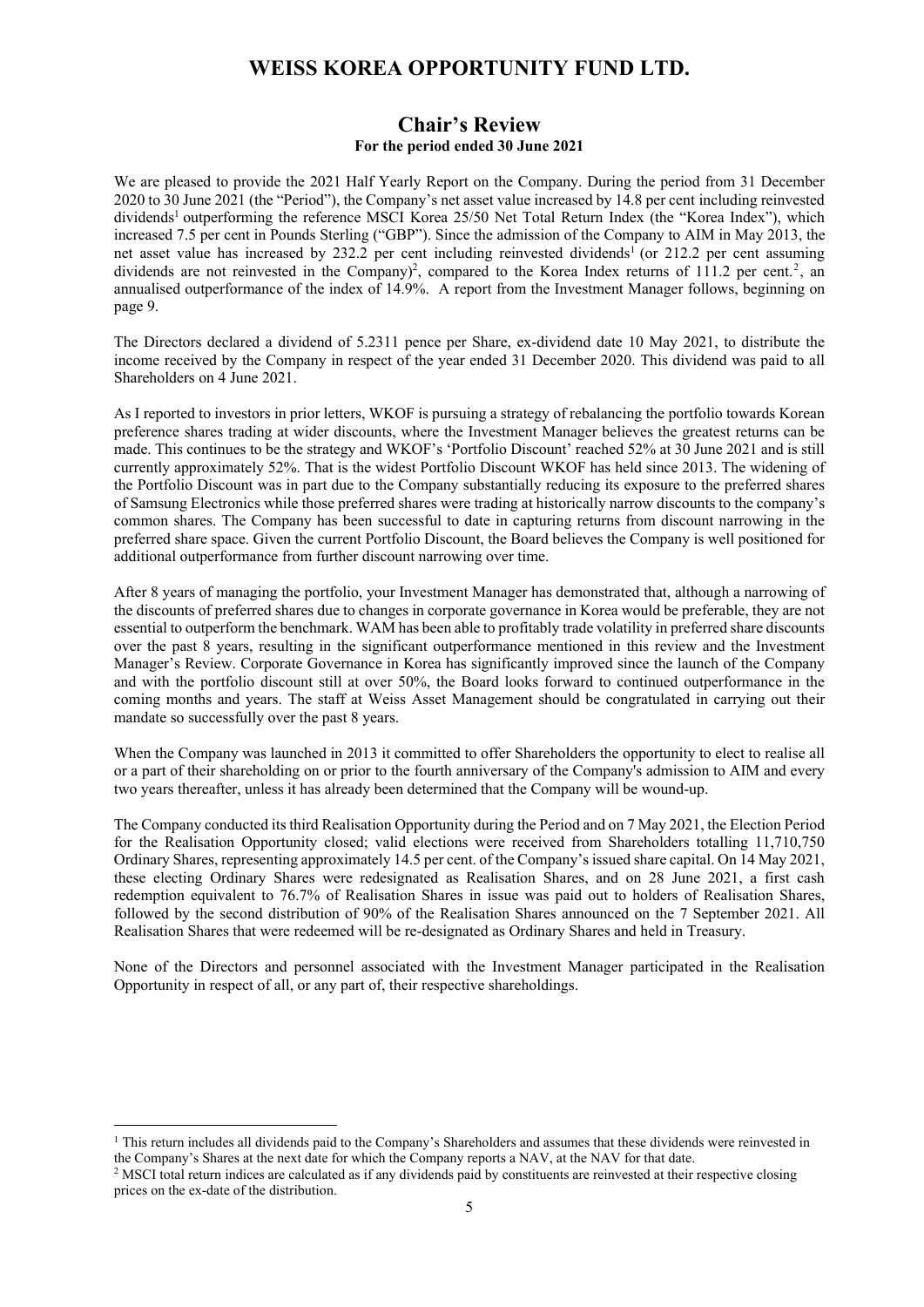### **Chair's Review For the period ended 30 June 2021**

We are pleased to provide the 2021 Half Yearly Report on the Company. During the period from 31 December 2020 to 30 June 2021 (the "Period"), the Company's net asset value increased by 14.8 per cent including reinvested dividends<sup>1</sup> outperforming the reference MSCI Korea 25/50 Net Total Return Index (the "Korea Index"), which increased 7.5 per cent in Pounds Sterling ("GBP"). Since the admission of the Company to AIM in May 2013, the net asset value has increased by 232.2 per cent including reinvested dividends<sup>1</sup> (or 212.2 per cent assuming dividends are not reinvested in the Company)<sup>2</sup>, compared to the Korea Index returns of 111.2 per cent.<sup>2</sup>, an annualised outperformance of the index of 14.9%. A report from the Investment Manager follows, beginning on page 9.

The Directors declared a dividend of 5.2311 pence per Share, ex-dividend date 10 May 2021, to distribute the income received by the Company in respect of the year ended 31 December 2020. This dividend was paid to all Shareholders on 4 June 2021.

As I reported to investors in prior letters, WKOF is pursuing a strategy of rebalancing the portfolio towards Korean preference shares trading at wider discounts, where the Investment Manager believes the greatest returns can be made. This continues to be the strategy and WKOF's 'Portfolio Discount' reached 52% at 30 June 2021 and is still currently approximately 52%. That is the widest Portfolio Discount WKOF has held since 2013. The widening of the Portfolio Discount was in part due to the Company substantially reducing its exposure to the preferred shares of Samsung Electronics while those preferred shares were trading at historically narrow discounts to the company's common shares. The Company has been successful to date in capturing returns from discount narrowing in the preferred share space. Given the current Portfolio Discount, the Board believes the Company is well positioned for additional outperformance from further discount narrowing over time.

After 8 years of managing the portfolio, your Investment Manager has demonstrated that, although a narrowing of the discounts of preferred shares due to changes in corporate governance in Korea would be preferable, they are not essential to outperform the benchmark. WAM has been able to profitably trade volatility in preferred share discounts over the past 8 years, resulting in the significant outperformance mentioned in this review and the Investment Manager's Review. Corporate Governance in Korea has significantly improved since the launch of the Company and with the portfolio discount still at over 50%, the Board looks forward to continued outperformance in the coming months and years. The staff at Weiss Asset Management should be congratulated in carrying out their mandate so successfully over the past 8 years.

When the Company was launched in 2013 it committed to offer Shareholders the opportunity to elect to realise all or a part of their shareholding on or prior to the fourth anniversary of the Company's admission to AIM and every two years thereafter, unless it has already been determined that the Company will be wound-up.

The Company conducted its third Realisation Opportunity during the Period and on 7 May 2021, the Election Period for the Realisation Opportunity closed; valid elections were received from Shareholders totalling 11,710,750 Ordinary Shares, representing approximately 14.5 per cent. of the Company's issued share capital. On 14 May 2021, these electing Ordinary Shares were redesignated as Realisation Shares, and on 28 June 2021, a first cash redemption equivalent to 76.7% of Realisation Shares in issue was paid out to holders of Realisation Shares, followed by the second distribution of 90% of the Realisation Shares announced on the 7 September 2021. All Realisation Shares that were redeemed will be re-designated as Ordinary Shares and held in Treasury.

None of the Directors and personnel associated with the Investment Manager participated in the Realisation Opportunity in respect of all, or any part of, their respective shareholdings.

<sup>&</sup>lt;sup>1</sup> This return includes all dividends paid to the Company's Shareholders and assumes that these dividends were reinvested in the Company's Shares at the next date for which the Company reports a NAV, at the NAV for that date.

<sup>&</sup>lt;sup>2</sup> MSCI total return indices are calculated as if any dividends paid by constituents are reinvested at their respective closing prices on the ex-date of the distribution.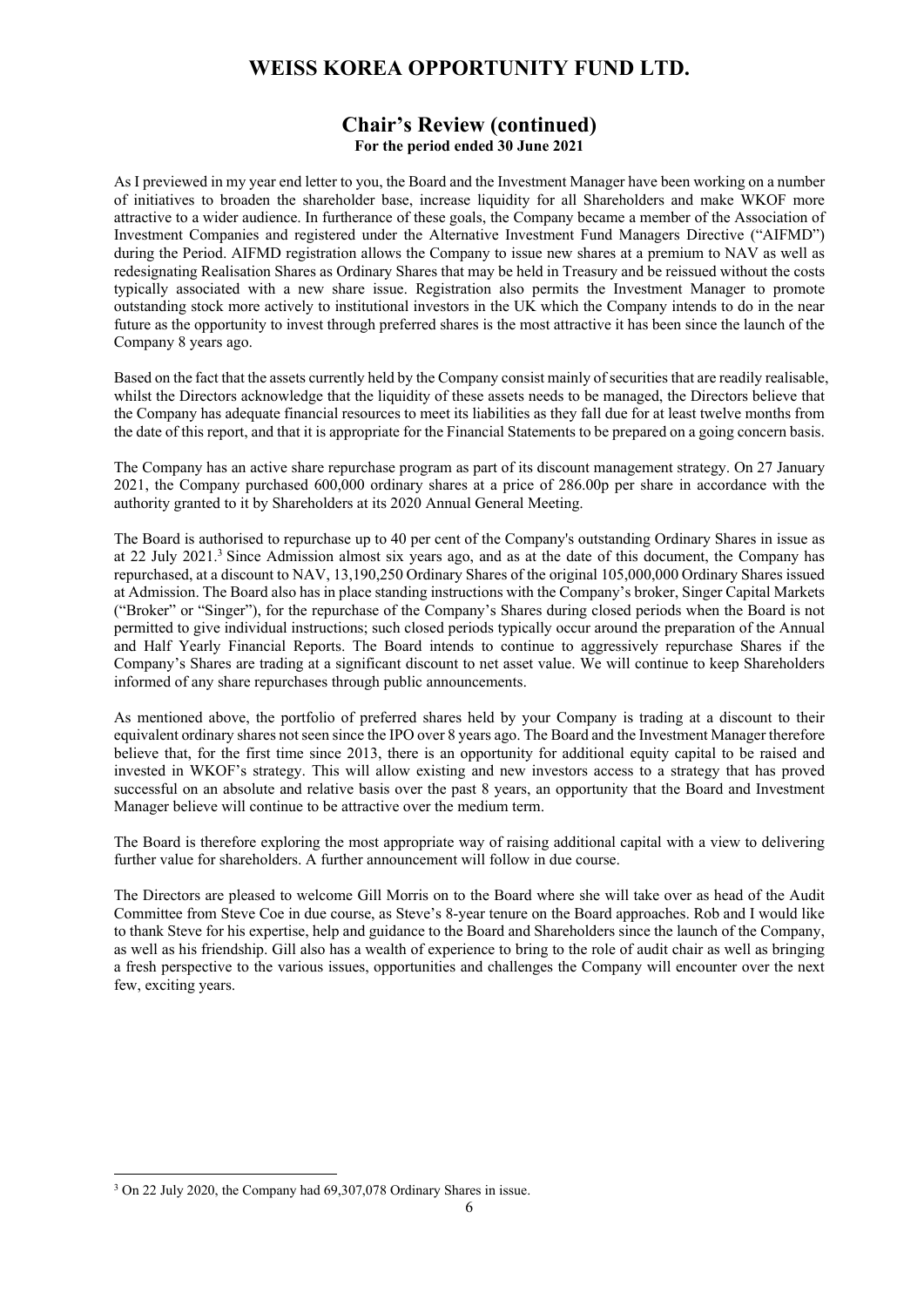## **Chair's Review (continued) For the period ended 30 June 2021**

As I previewed in my year end letter to you, the Board and the Investment Manager have been working on a number of initiatives to broaden the shareholder base, increase liquidity for all Shareholders and make WKOF more attractive to a wider audience. In furtherance of these goals, the Company became a member of the Association of Investment Companies and registered under the Alternative Investment Fund Managers Directive ("AIFMD") during the Period. AIFMD registration allows the Company to issue new shares at a premium to NAV as well as redesignating Realisation Shares as Ordinary Shares that may be held in Treasury and be reissued without the costs typically associated with a new share issue. Registration also permits the Investment Manager to promote outstanding stock more actively to institutional investors in the UK which the Company intends to do in the near future as the opportunity to invest through preferred shares is the most attractive it has been since the launch of the Company 8 years ago.

Based on the fact that the assets currently held by the Company consist mainly of securities that are readily realisable, whilst the Directors acknowledge that the liquidity of these assets needs to be managed, the Directors believe that the Company has adequate financial resources to meet its liabilities as they fall due for at least twelve months from the date of this report, and that it is appropriate for the Financial Statements to be prepared on a going concern basis.

The Company has an active share repurchase program as part of its discount management strategy. On 27 January 2021, the Company purchased 600,000 ordinary shares at a price of 286.00p per share in accordance with the authority granted to it by Shareholders at its 2020 Annual General Meeting.

The Board is authorised to repurchase up to 40 per cent of the Company's outstanding Ordinary Shares in issue as at 22 July 2021.<sup>3</sup> Since Admission almost six years ago, and as at the date of this document, the Company has repurchased, at a discount to NAV, 13,190,250 Ordinary Shares of the original 105,000,000 Ordinary Shares issued at Admission. The Board also has in place standing instructions with the Company's broker, Singer Capital Markets ("Broker" or "Singer"), for the repurchase of the Company's Shares during closed periods when the Board is not permitted to give individual instructions; such closed periods typically occur around the preparation of the Annual and Half Yearly Financial Reports. The Board intends to continue to aggressively repurchase Shares if the Company's Shares are trading at a significant discount to net asset value. We will continue to keep Shareholders informed of any share repurchases through public announcements.

As mentioned above, the portfolio of preferred shares held by your Company is trading at a discount to their equivalent ordinary shares not seen since the IPO over 8 years ago. The Board and the Investment Manager therefore believe that, for the first time since 2013, there is an opportunity for additional equity capital to be raised and invested in WKOF's strategy. This will allow existing and new investors access to a strategy that has proved successful on an absolute and relative basis over the past 8 years, an opportunity that the Board and Investment Manager believe will continue to be attractive over the medium term.

The Board is therefore exploring the most appropriate way of raising additional capital with a view to delivering further value for shareholders. A further announcement will follow in due course.

The Directors are pleased to welcome Gill Morris on to the Board where she will take over as head of the Audit Committee from Steve Coe in due course, as Steve's 8-year tenure on the Board approaches. Rob and I would like to thank Steve for his expertise, help and guidance to the Board and Shareholders since the launch of the Company, as well as his friendship. Gill also has a wealth of experience to bring to the role of audit chair as well as bringing a fresh perspective to the various issues, opportunities and challenges the Company will encounter over the next few, exciting years.

<sup>3</sup> On 22 July 2020, the Company had 69,307,078 Ordinary Shares in issue.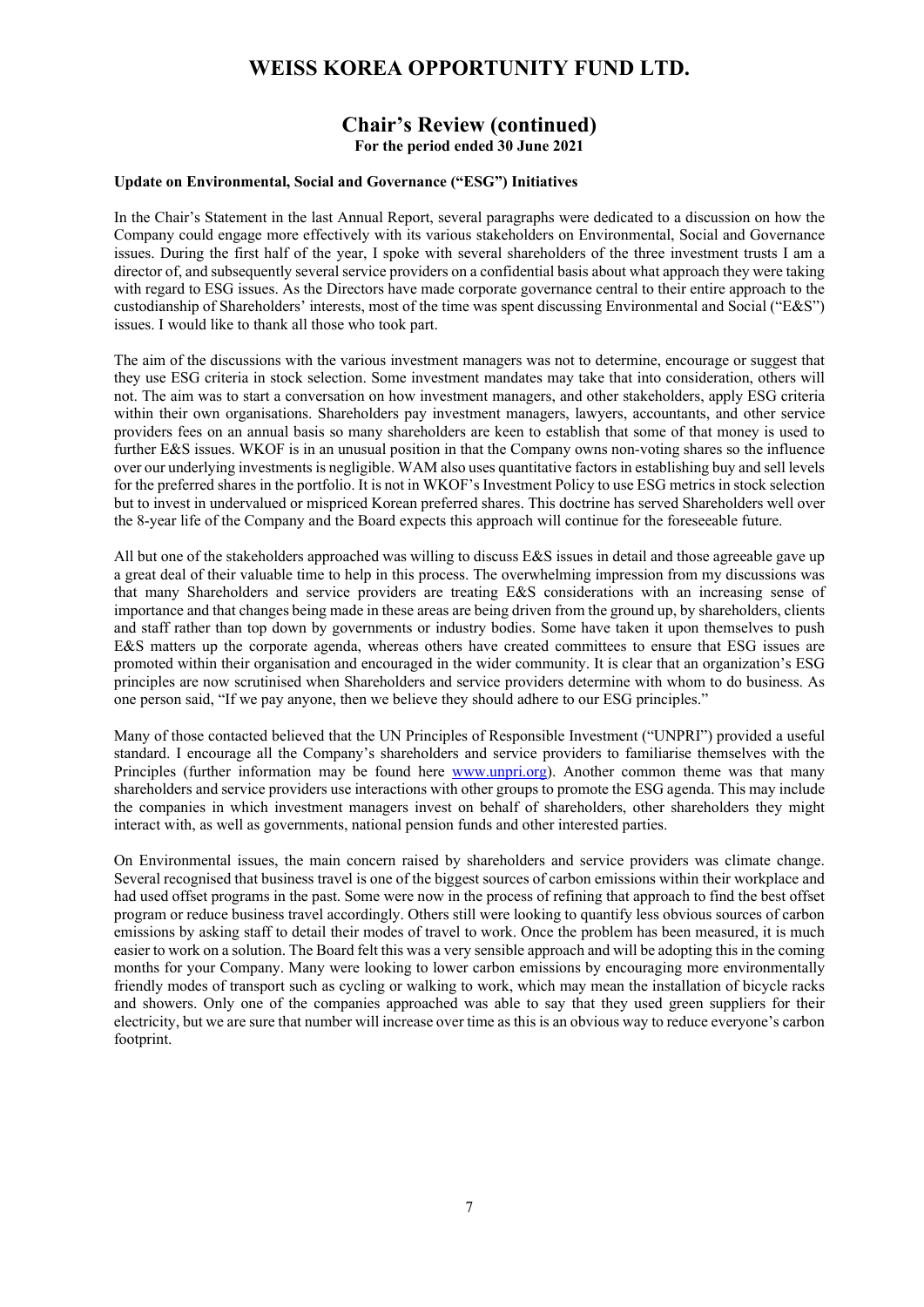## **Chair's Review (continued) For the period ended 30 June 2021**

#### **Update on Environmental, Social and Governance ("ESG") Initiatives**

In the Chair's Statement in the last Annual Report, several paragraphs were dedicated to a discussion on how the Company could engage more effectively with its various stakeholders on Environmental, Social and Governance issues. During the first half of the year, I spoke with several shareholders of the three investment trusts I am a director of, and subsequently several service providers on a confidential basis about what approach they were taking with regard to ESG issues. As the Directors have made corporate governance central to their entire approach to the custodianship of Shareholders' interests, most of the time was spent discussing Environmental and Social ("E&S") issues. I would like to thank all those who took part.

The aim of the discussions with the various investment managers was not to determine, encourage or suggest that they use ESG criteria in stock selection. Some investment mandates may take that into consideration, others will not. The aim was to start a conversation on how investment managers, and other stakeholders, apply ESG criteria within their own organisations. Shareholders pay investment managers, lawyers, accountants, and other service providers fees on an annual basis so many shareholders are keen to establish that some of that money is used to further E&S issues. WKOF is in an unusual position in that the Company owns non-voting shares so the influence over our underlying investments is negligible. WAM also uses quantitative factors in establishing buy and sell levels for the preferred shares in the portfolio. It is not in WKOF's Investment Policy to use ESG metrics in stock selection but to invest in undervalued or mispriced Korean preferred shares. This doctrine has served Shareholders well over the 8-year life of the Company and the Board expects this approach will continue for the foreseeable future.

All but one of the stakeholders approached was willing to discuss E&S issues in detail and those agreeable gave up a great deal of their valuable time to help in this process. The overwhelming impression from my discussions was that many Shareholders and service providers are treating E&S considerations with an increasing sense of importance and that changes being made in these areas are being driven from the ground up, by shareholders, clients and staff rather than top down by governments or industry bodies. Some have taken it upon themselves to push E&S matters up the corporate agenda, whereas others have created committees to ensure that ESG issues are promoted within their organisation and encouraged in the wider community. It is clear that an organization's ESG principles are now scrutinised when Shareholders and service providers determine with whom to do business. As one person said, "If we pay anyone, then we believe they should adhere to our ESG principles."

Many of those contacted believed that the UN Principles of Responsible Investment ("UNPRI") provided a useful standard. I encourage all the Company's shareholders and service providers to familiarise themselves with the Principles (further information may be found here www.unpri.org). Another common theme was that many shareholders and service providers use interactions with other groups to promote the ESG agenda. This may include the companies in which investment managers invest on behalf of shareholders, other shareholders they might interact with, as well as governments, national pension funds and other interested parties.

On Environmental issues, the main concern raised by shareholders and service providers was climate change. Several recognised that business travel is one of the biggest sources of carbon emissions within their workplace and had used offset programs in the past. Some were now in the process of refining that approach to find the best offset program or reduce business travel accordingly. Others still were looking to quantify less obvious sources of carbon emissions by asking staff to detail their modes of travel to work. Once the problem has been measured, it is much easier to work on a solution. The Board felt this was a very sensible approach and will be adopting this in the coming months for your Company. Many were looking to lower carbon emissions by encouraging more environmentally friendly modes of transport such as cycling or walking to work, which may mean the installation of bicycle racks and showers. Only one of the companies approached was able to say that they used green suppliers for their electricity, but we are sure that number will increase over time as this is an obvious way to reduce everyone's carbon footprint.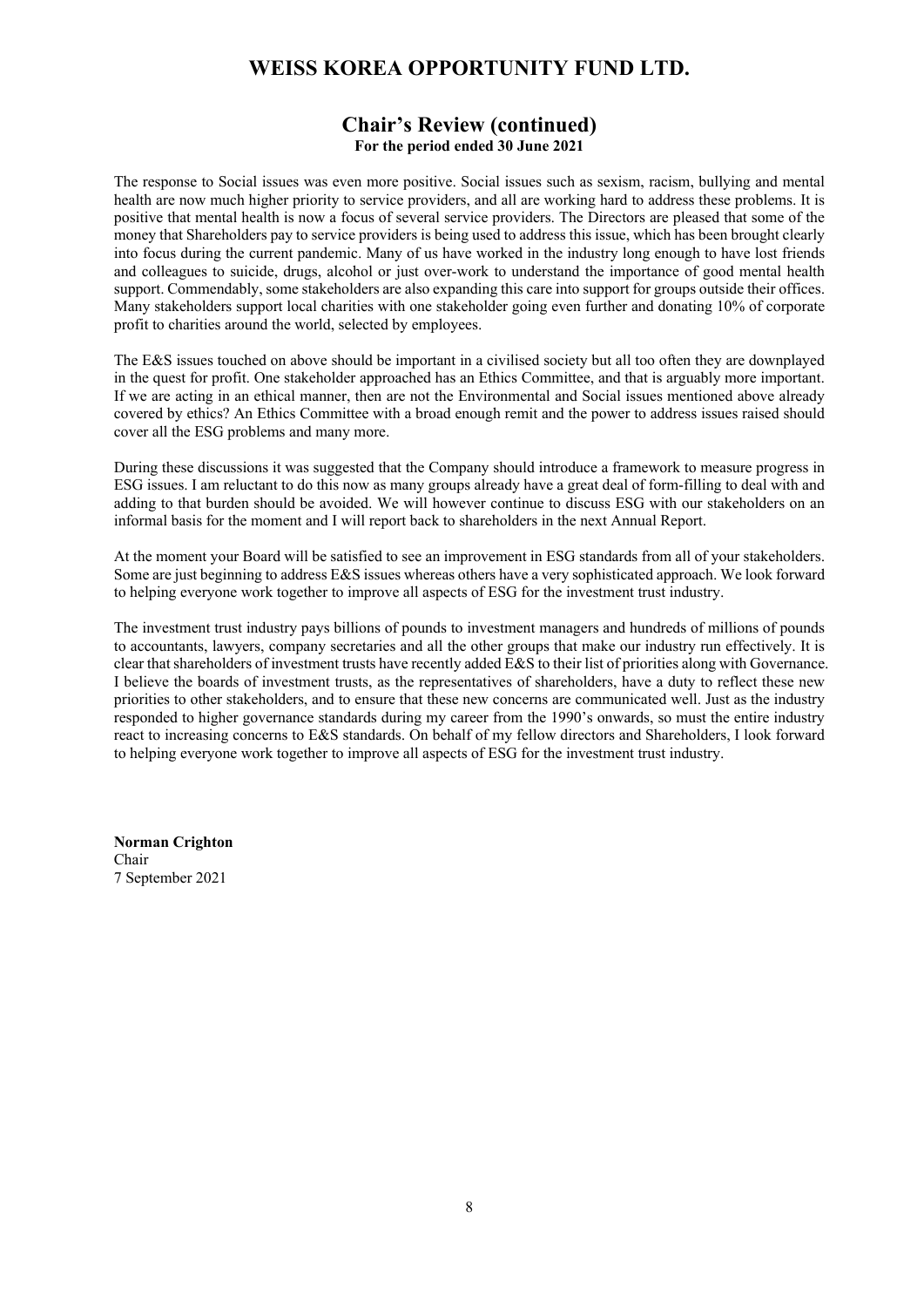## **Chair's Review (continued) For the period ended 30 June 2021**

The response to Social issues was even more positive. Social issues such as sexism, racism, bullying and mental health are now much higher priority to service providers, and all are working hard to address these problems. It is positive that mental health is now a focus of several service providers. The Directors are pleased that some of the money that Shareholders pay to service providers is being used to address this issue, which has been brought clearly into focus during the current pandemic. Many of us have worked in the industry long enough to have lost friends and colleagues to suicide, drugs, alcohol or just over-work to understand the importance of good mental health support. Commendably, some stakeholders are also expanding this care into support for groups outside their offices. Many stakeholders support local charities with one stakeholder going even further and donating 10% of corporate profit to charities around the world, selected by employees.

The E&S issues touched on above should be important in a civilised society but all too often they are downplayed in the quest for profit. One stakeholder approached has an Ethics Committee, and that is arguably more important. If we are acting in an ethical manner, then are not the Environmental and Social issues mentioned above already covered by ethics? An Ethics Committee with a broad enough remit and the power to address issues raised should cover all the ESG problems and many more.

During these discussions it was suggested that the Company should introduce a framework to measure progress in ESG issues. I am reluctant to do this now as many groups already have a great deal of form-filling to deal with and adding to that burden should be avoided. We will however continue to discuss ESG with our stakeholders on an informal basis for the moment and I will report back to shareholders in the next Annual Report.

At the moment your Board will be satisfied to see an improvement in ESG standards from all of your stakeholders. Some are just beginning to address E&S issues whereas others have a very sophisticated approach. We look forward to helping everyone work together to improve all aspects of ESG for the investment trust industry.

The investment trust industry pays billions of pounds to investment managers and hundreds of millions of pounds to accountants, lawyers, company secretaries and all the other groups that make our industry run effectively. It is clear that shareholders of investment trusts have recently added E&S to their list of priorities along with Governance. I believe the boards of investment trusts, as the representatives of shareholders, have a duty to reflect these new priorities to other stakeholders, and to ensure that these new concerns are communicated well. Just as the industry responded to higher governance standards during my career from the 1990's onwards, so must the entire industry react to increasing concerns to E&S standards. On behalf of my fellow directors and Shareholders, I look forward to helping everyone work together to improve all aspects of ESG for the investment trust industry.

**Norman Crighton**  Chair 7 September 2021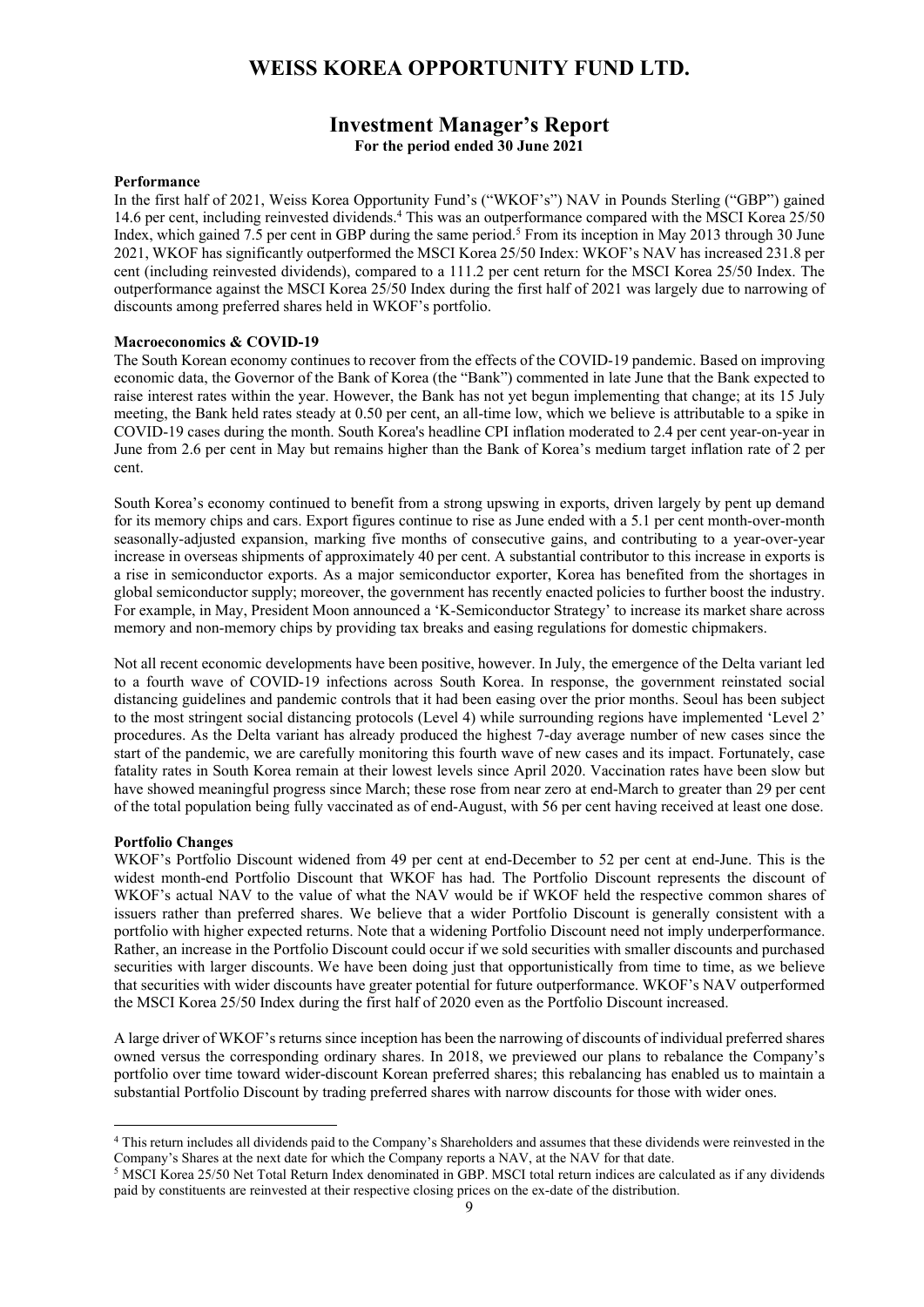## **Investment Manager's Report For the period ended 30 June 2021**

#### **Performance**

In the first half of 2021, Weiss Korea Opportunity Fund's ("WKOF's") NAV in Pounds Sterling ("GBP") gained 14.6 per cent, including reinvested dividends.4 This was an outperformance compared with the MSCI Korea 25/50 Index, which gained 7.5 per cent in GBP during the same period.<sup>5</sup> From its inception in May 2013 through 30 June 2021, WKOF has significantly outperformed the MSCI Korea 25/50 Index: WKOF's NAV has increased 231.8 per cent (including reinvested dividends), compared to a 111.2 per cent return for the MSCI Korea 25/50 Index. The outperformance against the MSCI Korea 25/50 Index during the first half of 2021 was largely due to narrowing of discounts among preferred shares held in WKOF's portfolio.

#### **Macroeconomics & COVID-19**

The South Korean economy continues to recover from the effects of the COVID-19 pandemic. Based on improving economic data, the Governor of the Bank of Korea (the "Bank") commented in late June that the Bank expected to raise interest rates within the year. However, the Bank has not yet begun implementing that change; at its 15 July meeting, the Bank held rates steady at 0.50 per cent, an all-time low, which we believe is attributable to a spike in COVID-19 cases during the month. South Korea's headline CPI inflation moderated to 2.4 per cent year-on-year in June from 2.6 per cent in May but remains higher than the Bank of Korea's medium target inflation rate of 2 per cent.

South Korea's economy continued to benefit from a strong upswing in exports, driven largely by pent up demand for its memory chips and cars. Export figures continue to rise as June ended with a 5.1 per cent month-over-month seasonally-adjusted expansion, marking five months of consecutive gains, and contributing to a year-over-year increase in overseas shipments of approximately 40 per cent. A substantial contributor to this increase in exports is a rise in semiconductor exports. As a major semiconductor exporter, Korea has benefited from the shortages in global semiconductor supply; moreover, the government has recently enacted policies to further boost the industry. For example, in May, President Moon announced a 'K-Semiconductor Strategy' to increase its market share across memory and non-memory chips by providing tax breaks and easing regulations for domestic chipmakers.

Not all recent economic developments have been positive, however. In July, the emergence of the Delta variant led to a fourth wave of COVID-19 infections across South Korea. In response, the government reinstated social distancing guidelines and pandemic controls that it had been easing over the prior months. Seoul has been subject to the most stringent social distancing protocols (Level 4) while surrounding regions have implemented 'Level 2' procedures. As the Delta variant has already produced the highest 7-day average number of new cases since the start of the pandemic, we are carefully monitoring this fourth wave of new cases and its impact. Fortunately, case fatality rates in South Korea remain at their lowest levels since April 2020. Vaccination rates have been slow but have showed meaningful progress since March; these rose from near zero at end-March to greater than 29 per cent of the total population being fully vaccinated as of end-August, with 56 per cent having received at least one dose.

#### **Portfolio Changes**

WKOF's Portfolio Discount widened from 49 per cent at end-December to 52 per cent at end-June. This is the widest month-end Portfolio Discount that WKOF has had. The Portfolio Discount represents the discount of WKOF's actual NAV to the value of what the NAV would be if WKOF held the respective common shares of issuers rather than preferred shares. We believe that a wider Portfolio Discount is generally consistent with a portfolio with higher expected returns. Note that a widening Portfolio Discount need not imply underperformance. Rather, an increase in the Portfolio Discount could occur if we sold securities with smaller discounts and purchased securities with larger discounts. We have been doing just that opportunistically from time to time, as we believe that securities with wider discounts have greater potential for future outperformance. WKOF's NAV outperformed the MSCI Korea 25/50 Index during the first half of 2020 even as the Portfolio Discount increased.

A large driver of WKOF's returns since inception has been the narrowing of discounts of individual preferred shares owned versus the corresponding ordinary shares. In 2018, we previewed our plans to rebalance the Company's portfolio over time toward wider-discount Korean preferred shares; this rebalancing has enabled us to maintain a substantial Portfolio Discount by trading preferred shares with narrow discounts for those with wider ones.

<sup>4</sup> This return includes all dividends paid to the Company's Shareholders and assumes that these dividends were reinvested in the Company's Shares at the next date for which the Company reports a NAV, at the NAV for that date.<br><sup>5</sup> MSCI Korea 25/50 Net Total Return Index denominated in GBP. MSCI total return indices are calculated as if any dividends

paid by constituents are reinvested at their respective closing prices on the ex-date of the distribution.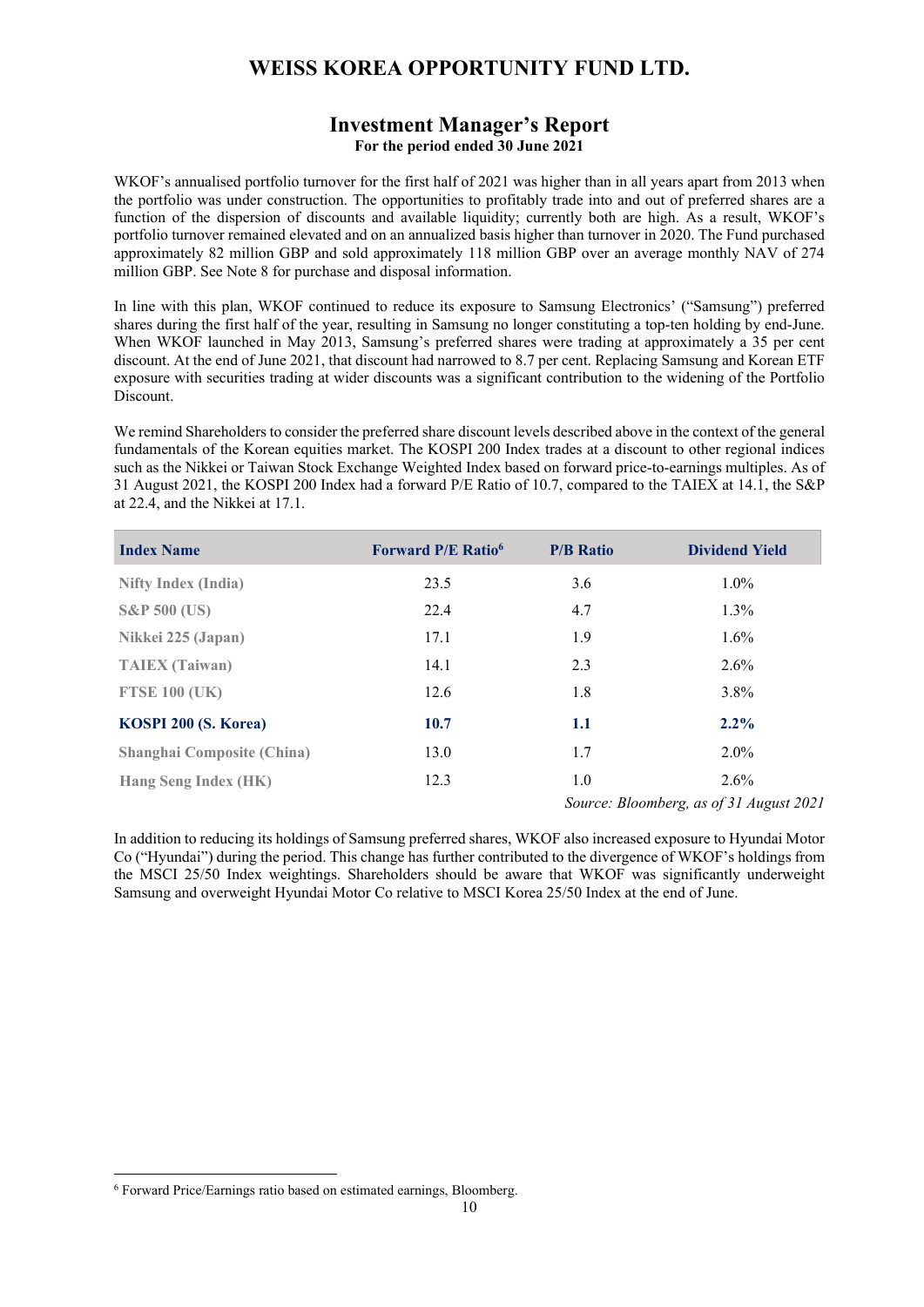## **Investment Manager's Report For the period ended 30 June 2021**

WKOF's annualised portfolio turnover for the first half of 2021 was higher than in all years apart from 2013 when the portfolio was under construction. The opportunities to profitably trade into and out of preferred shares are a function of the dispersion of discounts and available liquidity; currently both are high. As a result, WKOF's portfolio turnover remained elevated and on an annualized basis higher than turnover in 2020. The Fund purchased approximately 82 million GBP and sold approximately 118 million GBP over an average monthly NAV of 274 million GBP. See Note 8 for purchase and disposal information.

In line with this plan, WKOF continued to reduce its exposure to Samsung Electronics' ("Samsung") preferred shares during the first half of the year, resulting in Samsung no longer constituting a top-ten holding by end-June. When WKOF launched in May 2013, Samsung's preferred shares were trading at approximately a 35 per cent discount. At the end of June 2021, that discount had narrowed to 8.7 per cent. Replacing Samsung and Korean ETF exposure with securities trading at wider discounts was a significant contribution to the widening of the Portfolio Discount.

We remind Shareholders to consider the preferred share discount levels described above in the context of the general fundamentals of the Korean equities market. The KOSPI 200 Index trades at a discount to other regional indices such as the Nikkei or Taiwan Stock Exchange Weighted Index based on forward price-to-earnings multiples. As of 31 August 2021, the KOSPI 200 Index had a forward P/E Ratio of 10.7, compared to the TAIEX at 14.1, the S&P at 22.4, and the Nikkei at 17.1.

| <b>Index Name</b>                 | <b>Forward P/E Ratio</b> <sup>6</sup> | <b>P/B Ratio</b> | <b>Dividend Yield</b>                   |
|-----------------------------------|---------------------------------------|------------------|-----------------------------------------|
| <b>Nifty Index (India)</b>        | 23.5                                  | 3.6              | $1.0\%$                                 |
| <b>S&amp;P 500 (US)</b>           | 22.4                                  | 4.7              | $1.3\%$                                 |
| Nikkei 225 (Japan)                | 17.1                                  | 1.9              | $1.6\%$                                 |
| <b>TAIEX</b> (Taiwan)             | 14.1                                  | 2.3              | $2.6\%$                                 |
| <b>FTSE 100 (UK)</b>              | 12.6                                  | 1.8              | 3.8%                                    |
| KOSPI 200 (S. Korea)              | 10.7                                  | 1.1              | $2.2\%$                                 |
| <b>Shanghai Composite (China)</b> | 13.0                                  | 1.7              | $2.0\%$                                 |
| <b>Hang Seng Index (HK)</b>       | 12.3                                  | 1.0              | $2.6\%$                                 |
|                                   |                                       |                  | Source: Bloomberg, as of 31 August 2021 |

In addition to reducing its holdings of Samsung preferred shares, WKOF also increased exposure to Hyundai Motor Co ("Hyundai") during the period. This change has further contributed to the divergence of WKOF's holdings from the MSCI 25/50 Index weightings. Shareholders should be aware that WKOF was significantly underweight Samsung and overweight Hyundai Motor Co relative to MSCI Korea 25/50 Index at the end of June.

<sup>6</sup> Forward Price/Earnings ratio based on estimated earnings, Bloomberg.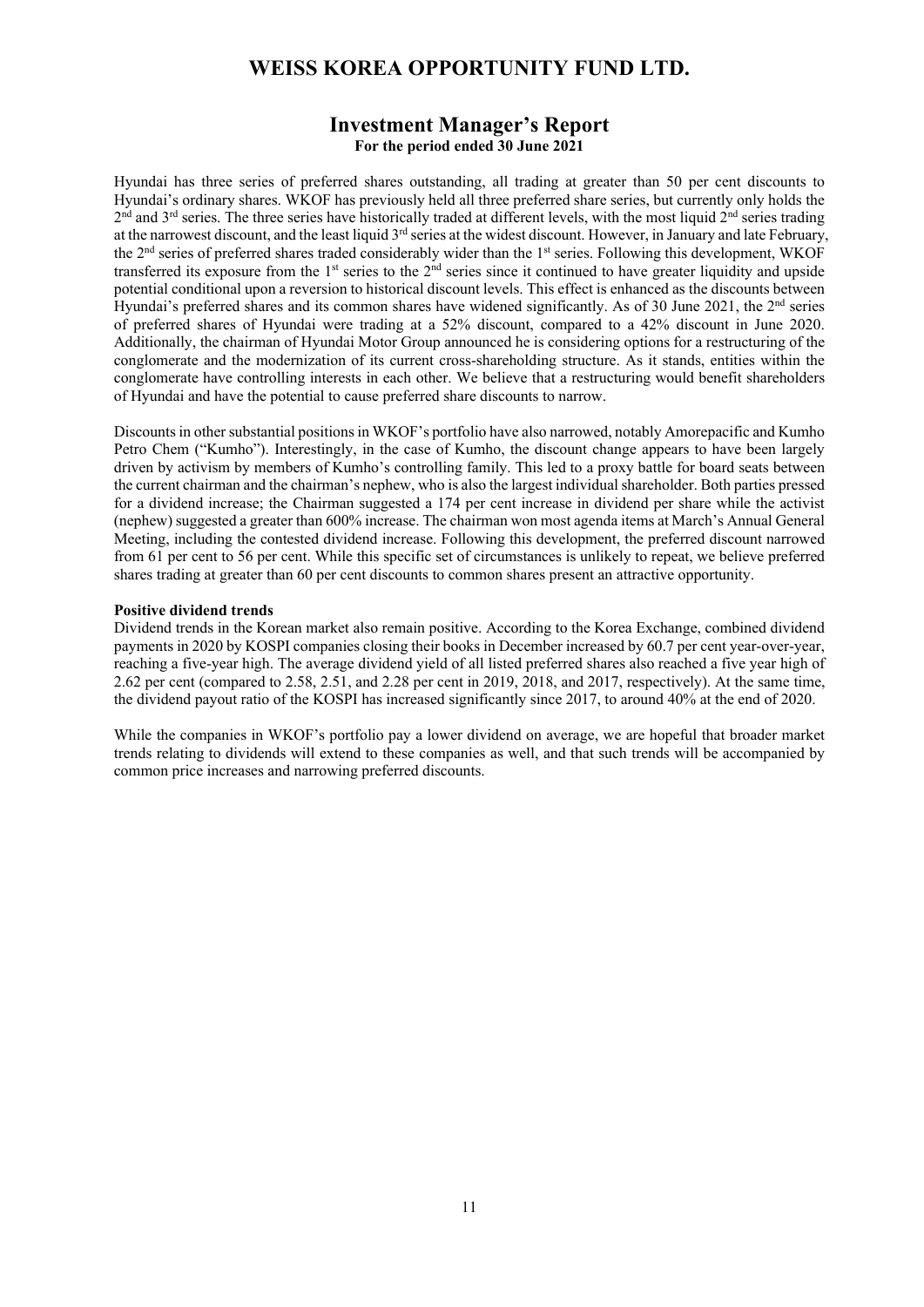## **Investment Manager's Report For the period ended 30 June 2021**

Hyundai has three series of preferred shares outstanding, all trading at greater than 50 per cent discounts to Hyundai's ordinary shares. WKOF has previously held all three preferred share series, but currently only holds the  $2<sup>nd</sup>$  and  $3<sup>rd</sup>$  series. The three series have historically traded at different levels, with the most liquid  $2<sup>nd</sup>$  series trading at the narrowest discount, and the least liquid 3<sup>rd</sup> series at the widest discount. However, in January and late February, the 2<sup>nd</sup> series of preferred shares traded considerably wider than the 1<sup>st</sup> series. Following this development, WKOF transferred its exposure from the  $1<sup>st</sup>$  series to the  $2<sup>nd</sup>$  series since it continued to have greater liquidity and upside potential conditional upon a reversion to historical discount levels. This effect is enhanced as the discounts between Hyundai's preferred shares and its common shares have widened significantly. As of 30 June 2021, the 2<sup>nd</sup> series of preferred shares of Hyundai were trading at a 52% discount, compared to a 42% discount in June 2020. Additionally, the chairman of Hyundai Motor Group announced he is considering options for a restructuring of the conglomerate and the modernization of its current cross-shareholding structure. As it stands, entities within the conglomerate have controlling interests in each other. We believe that a restructuring would benefit shareholders of Hyundai and have the potential to cause preferred share discounts to narrow.

Discounts in other substantial positions in WKOF's portfolio have also narrowed, notably Amorepacific and Kumho Petro Chem ("Kumho"). Interestingly, in the case of Kumho, the discount change appears to have been largely driven by activism by members of Kumho's controlling family. This led to a proxy battle for board seats between the current chairman and the chairman's nephew, who is also the largest individual shareholder. Both parties pressed for a dividend increase; the Chairman suggested a 174 per cent increase in dividend per share while the activist (nephew) suggested a greater than 600% increase. The chairman won most agenda items at March's Annual General Meeting, including the contested dividend increase. Following this development, the preferred discount narrowed from 61 per cent to 56 per cent. While this specific set of circumstances is unlikely to repeat, we believe preferred shares trading at greater than 60 per cent discounts to common shares present an attractive opportunity.

#### **Positive dividend trends**

Dividend trends in the Korean market also remain positive. According to the Korea Exchange, combined dividend payments in 2020 by KOSPI companies closing their books in December increased by 60.7 per cent year-over-year, reaching a five-year high. The average dividend yield of all listed preferred shares also reached a five year high of 2.62 per cent (compared to 2.58, 2.51, and 2.28 per cent in 2019, 2018, and 2017, respectively). At the same time, the dividend payout ratio of the KOSPI has increased significantly since 2017, to around 40% at the end of 2020.

While the companies in WKOF's portfolio pay a lower dividend on average, we are hopeful that broader market trends relating to dividends will extend to these companies as well, and that such trends will be accompanied by common price increases and narrowing preferred discounts.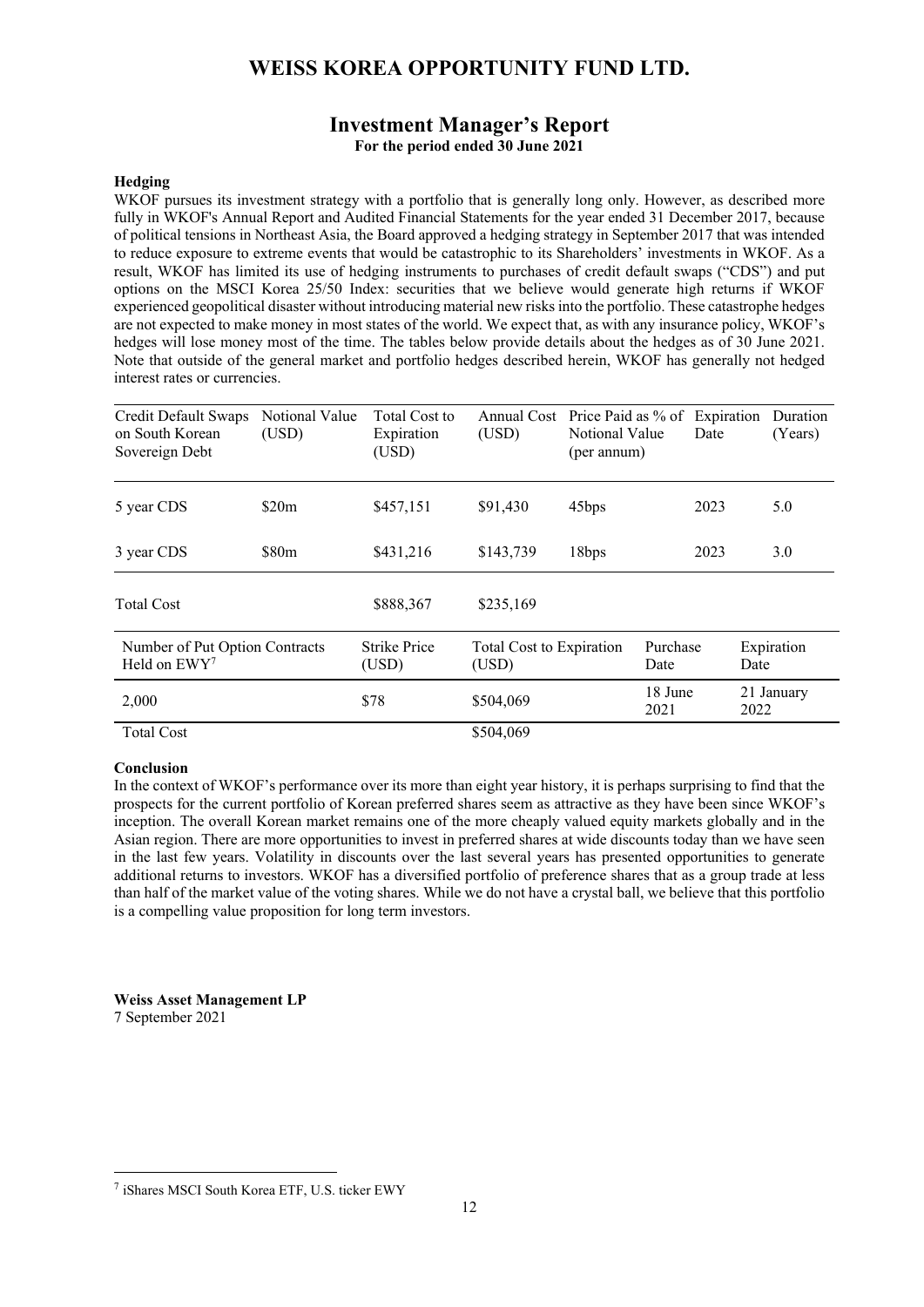## **Investment Manager's Report For the period ended 30 June 2021**

### **Hedging**

WKOF pursues its investment strategy with a portfolio that is generally long only. However, as described more fully in WKOF's Annual Report and Audited Financial Statements for the year ended 31 December 2017, because of political tensions in Northeast Asia, the Board approved a hedging strategy in September 2017 that was intended to reduce exposure to extreme events that would be catastrophic to its Shareholders' investments in WKOF. As a result, WKOF has limited its use of hedging instruments to purchases of credit default swaps ("CDS") and put options on the MSCI Korea 25/50 Index: securities that we believe would generate high returns if WKOF experienced geopolitical disaster without introducing material new risks into the portfolio. These catastrophe hedges are not expected to make money in most states of the world. We expect that, as with any insurance policy, WKOF's hedges will lose money most of the time. The tables below provide details about the hedges as of 30 June 2021. Note that outside of the general market and portfolio hedges described herein, WKOF has generally not hedged interest rates or currencies.

| Credit Default Swaps<br>on South Korean<br>Sovereign Debt | Notional Value<br>(USD) | Total Cost to<br>Expiration<br>(USD) | Annual Cost<br>(USD)              | Price Paid as % of<br>Notional Value<br>(per annum) |                  | Expiration<br>Date | Duration<br>(Years) |
|-----------------------------------------------------------|-------------------------|--------------------------------------|-----------------------------------|-----------------------------------------------------|------------------|--------------------|---------------------|
| 5 year CDS                                                | \$20m                   | \$457,151                            | \$91,430                          | 45bps                                               |                  | 2023               | 5.0                 |
| 3 year CDS                                                | \$80 <sub>m</sub>       | \$431,216                            | \$143,739                         | 18bps                                               |                  | 2023               | 3.0                 |
| <b>Total Cost</b>                                         |                         | \$888,367                            | \$235,169                         |                                                     |                  |                    |                     |
| Number of Put Option Contracts<br>Held on EWY7            |                         | <b>Strike Price</b><br>(USD)         | Total Cost to Expiration<br>(USD) |                                                     | Purchase<br>Date |                    | Expiration<br>Date  |
| 2,000                                                     |                         | \$78                                 | \$504,069                         |                                                     | 18 June<br>2021  |                    | 21 January<br>2022  |
| <b>Total Cost</b>                                         |                         |                                      | \$504,069                         |                                                     |                  |                    |                     |

#### **Conclusion**

In the context of WKOF's performance over its more than eight year history, it is perhaps surprising to find that the prospects for the current portfolio of Korean preferred shares seem as attractive as they have been since WKOF's inception. The overall Korean market remains one of the more cheaply valued equity markets globally and in the Asian region. There are more opportunities to invest in preferred shares at wide discounts today than we have seen in the last few years. Volatility in discounts over the last several years has presented opportunities to generate additional returns to investors. WKOF has a diversified portfolio of preference shares that as a group trade at less than half of the market value of the voting shares. While we do not have a crystal ball, we believe that this portfolio is a compelling value proposition for long term investors.

**Weiss Asset Management LP**  7 September 2021

<sup>7</sup> iShares MSCI South Korea ETF, U.S. ticker EWY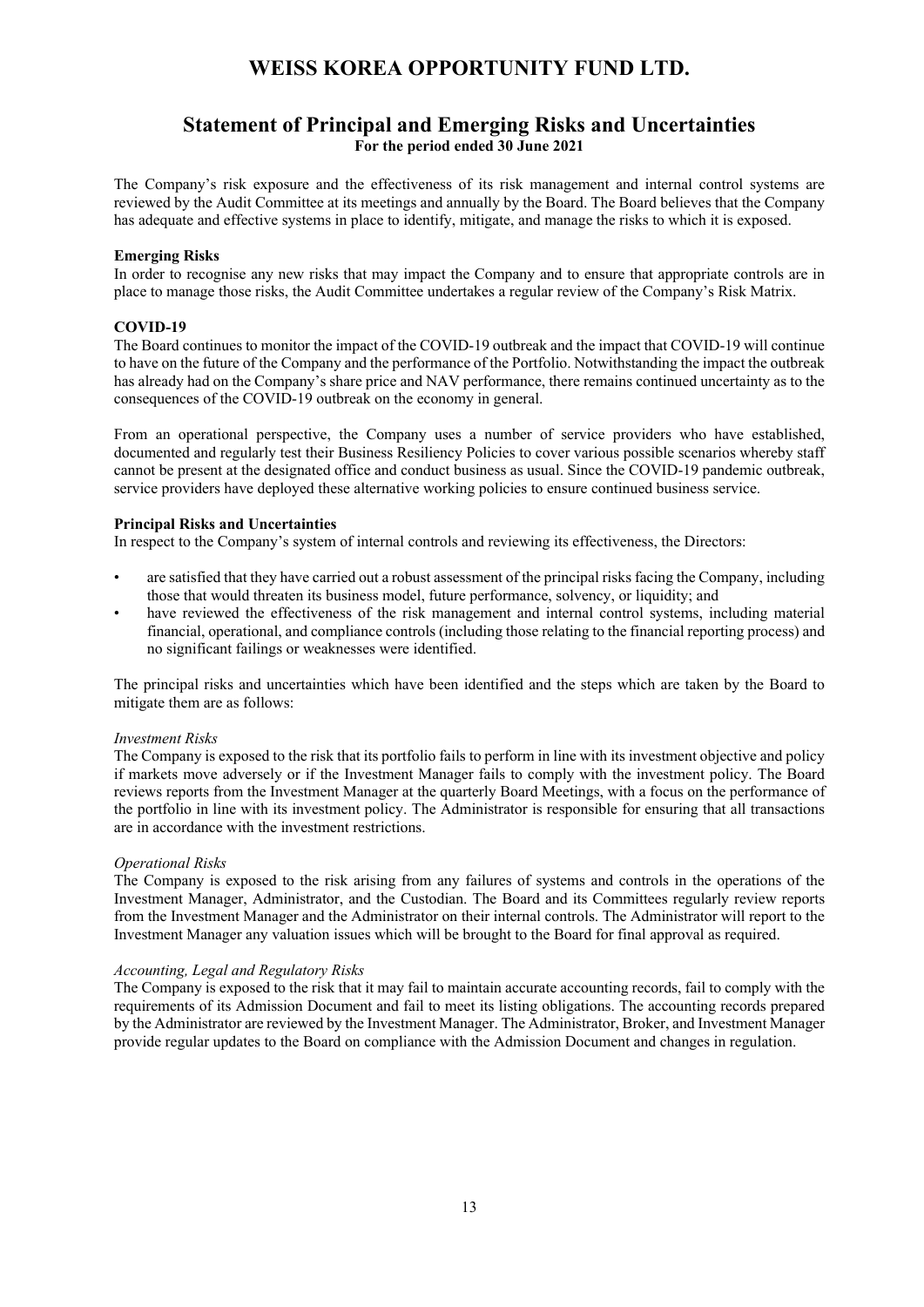## **Statement of Principal and Emerging Risks and Uncertainties For the period ended 30 June 2021**

The Company's risk exposure and the effectiveness of its risk management and internal control systems are reviewed by the Audit Committee at its meetings and annually by the Board. The Board believes that the Company has adequate and effective systems in place to identify, mitigate, and manage the risks to which it is exposed.

### **Emerging Risks**

In order to recognise any new risks that may impact the Company and to ensure that appropriate controls are in place to manage those risks, the Audit Committee undertakes a regular review of the Company's Risk Matrix.

### **COVID-19**

The Board continues to monitor the impact of the COVID-19 outbreak and the impact that COVID-19 will continue to have on the future of the Company and the performance of the Portfolio. Notwithstanding the impact the outbreak has already had on the Company's share price and NAV performance, there remains continued uncertainty as to the consequences of the COVID-19 outbreak on the economy in general.

From an operational perspective, the Company uses a number of service providers who have established, documented and regularly test their Business Resiliency Policies to cover various possible scenarios whereby staff cannot be present at the designated office and conduct business as usual. Since the COVID-19 pandemic outbreak, service providers have deployed these alternative working policies to ensure continued business service.

### **Principal Risks and Uncertainties**

In respect to the Company's system of internal controls and reviewing its effectiveness, the Directors:

- are satisfied that they have carried out a robust assessment of the principal risks facing the Company, including those that would threaten its business model, future performance, solvency, or liquidity; and
- have reviewed the effectiveness of the risk management and internal control systems, including material financial, operational, and compliance controls (including those relating to the financial reporting process) and no significant failings or weaknesses were identified.

The principal risks and uncertainties which have been identified and the steps which are taken by the Board to mitigate them are as follows:

### *Investment Risks*

The Company is exposed to the risk that its portfolio fails to perform in line with its investment objective and policy if markets move adversely or if the Investment Manager fails to comply with the investment policy. The Board reviews reports from the Investment Manager at the quarterly Board Meetings, with a focus on the performance of the portfolio in line with its investment policy. The Administrator is responsible for ensuring that all transactions are in accordance with the investment restrictions.

### *Operational Risks*

The Company is exposed to the risk arising from any failures of systems and controls in the operations of the Investment Manager, Administrator, and the Custodian. The Board and its Committees regularly review reports from the Investment Manager and the Administrator on their internal controls. The Administrator will report to the Investment Manager any valuation issues which will be brought to the Board for final approval as required.

### *Accounting, Legal and Regulatory Risks*

The Company is exposed to the risk that it may fail to maintain accurate accounting records, fail to comply with the requirements of its Admission Document and fail to meet its listing obligations. The accounting records prepared by the Administrator are reviewed by the Investment Manager. The Administrator, Broker, and Investment Manager provide regular updates to the Board on compliance with the Admission Document and changes in regulation.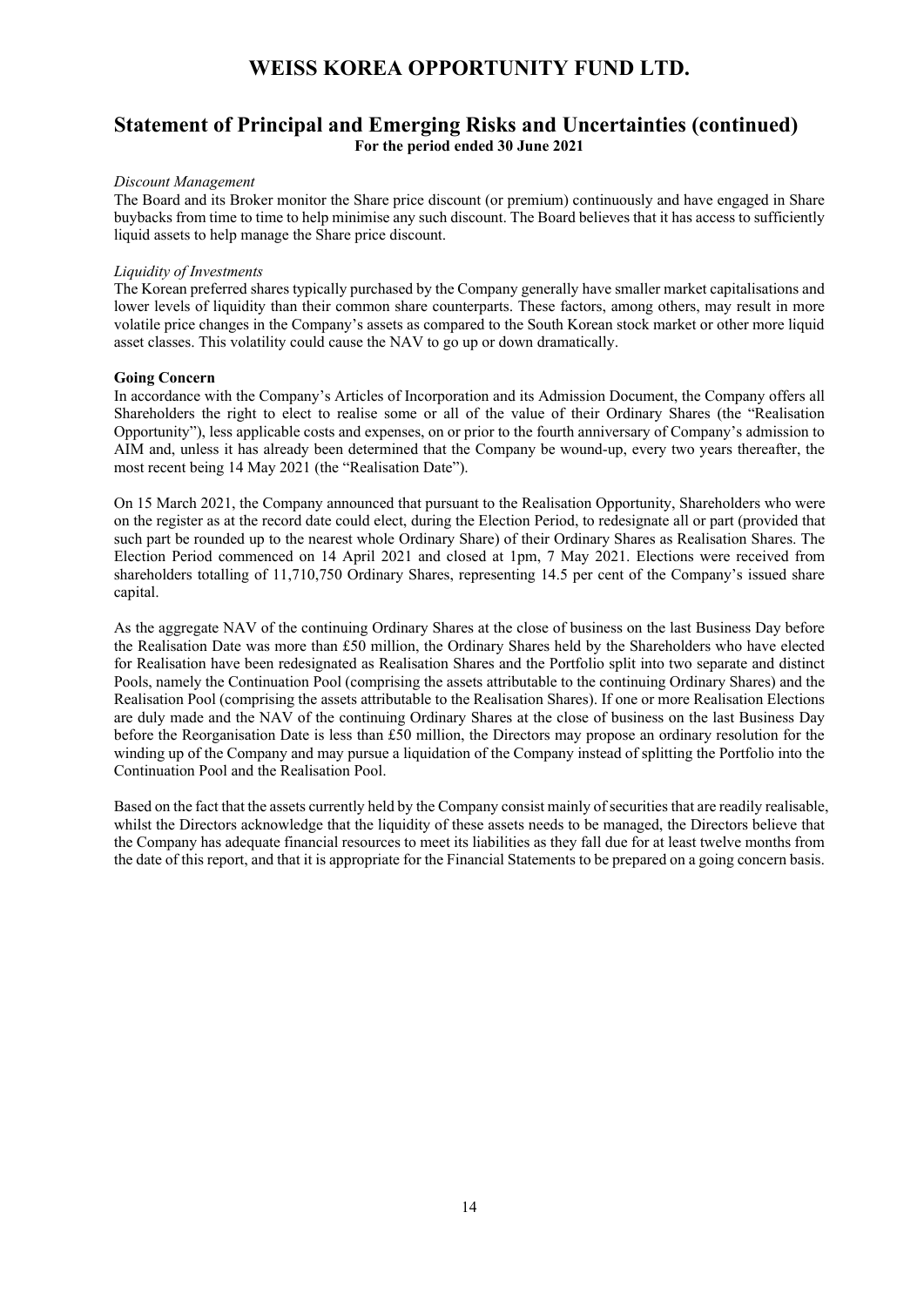## **Statement of Principal and Emerging Risks and Uncertainties (continued) For the period ended 30 June 2021**

#### *Discount Management*

The Board and its Broker monitor the Share price discount (or premium) continuously and have engaged in Share buybacks from time to time to help minimise any such discount. The Board believes that it has access to sufficiently liquid assets to help manage the Share price discount.

#### *Liquidity of Investments*

The Korean preferred shares typically purchased by the Company generally have smaller market capitalisations and lower levels of liquidity than their common share counterparts. These factors, among others, may result in more volatile price changes in the Company's assets as compared to the South Korean stock market or other more liquid asset classes. This volatility could cause the NAV to go up or down dramatically.

#### **Going Concern**

In accordance with the Company's Articles of Incorporation and its Admission Document, the Company offers all Shareholders the right to elect to realise some or all of the value of their Ordinary Shares (the "Realisation Opportunity"), less applicable costs and expenses, on or prior to the fourth anniversary of Company's admission to AIM and, unless it has already been determined that the Company be wound-up, every two years thereafter, the most recent being 14 May 2021 (the "Realisation Date").

On 15 March 2021, the Company announced that pursuant to the Realisation Opportunity, Shareholders who were on the register as at the record date could elect, during the Election Period, to redesignate all or part (provided that such part be rounded up to the nearest whole Ordinary Share) of their Ordinary Shares as Realisation Shares. The Election Period commenced on 14 April 2021 and closed at 1pm, 7 May 2021. Elections were received from shareholders totalling of 11,710,750 Ordinary Shares, representing 14.5 per cent of the Company's issued share capital.

As the aggregate NAV of the continuing Ordinary Shares at the close of business on the last Business Day before the Realisation Date was more than £50 million, the Ordinary Shares held by the Shareholders who have elected for Realisation have been redesignated as Realisation Shares and the Portfolio split into two separate and distinct Pools, namely the Continuation Pool (comprising the assets attributable to the continuing Ordinary Shares) and the Realisation Pool (comprising the assets attributable to the Realisation Shares). If one or more Realisation Elections are duly made and the NAV of the continuing Ordinary Shares at the close of business on the last Business Day before the Reorganisation Date is less than £50 million, the Directors may propose an ordinary resolution for the winding up of the Company and may pursue a liquidation of the Company instead of splitting the Portfolio into the Continuation Pool and the Realisation Pool.

Based on the fact that the assets currently held by the Company consist mainly of securities that are readily realisable, whilst the Directors acknowledge that the liquidity of these assets needs to be managed, the Directors believe that the Company has adequate financial resources to meet its liabilities as they fall due for at least twelve months from the date of this report, and that it is appropriate for the Financial Statements to be prepared on a going concern basis.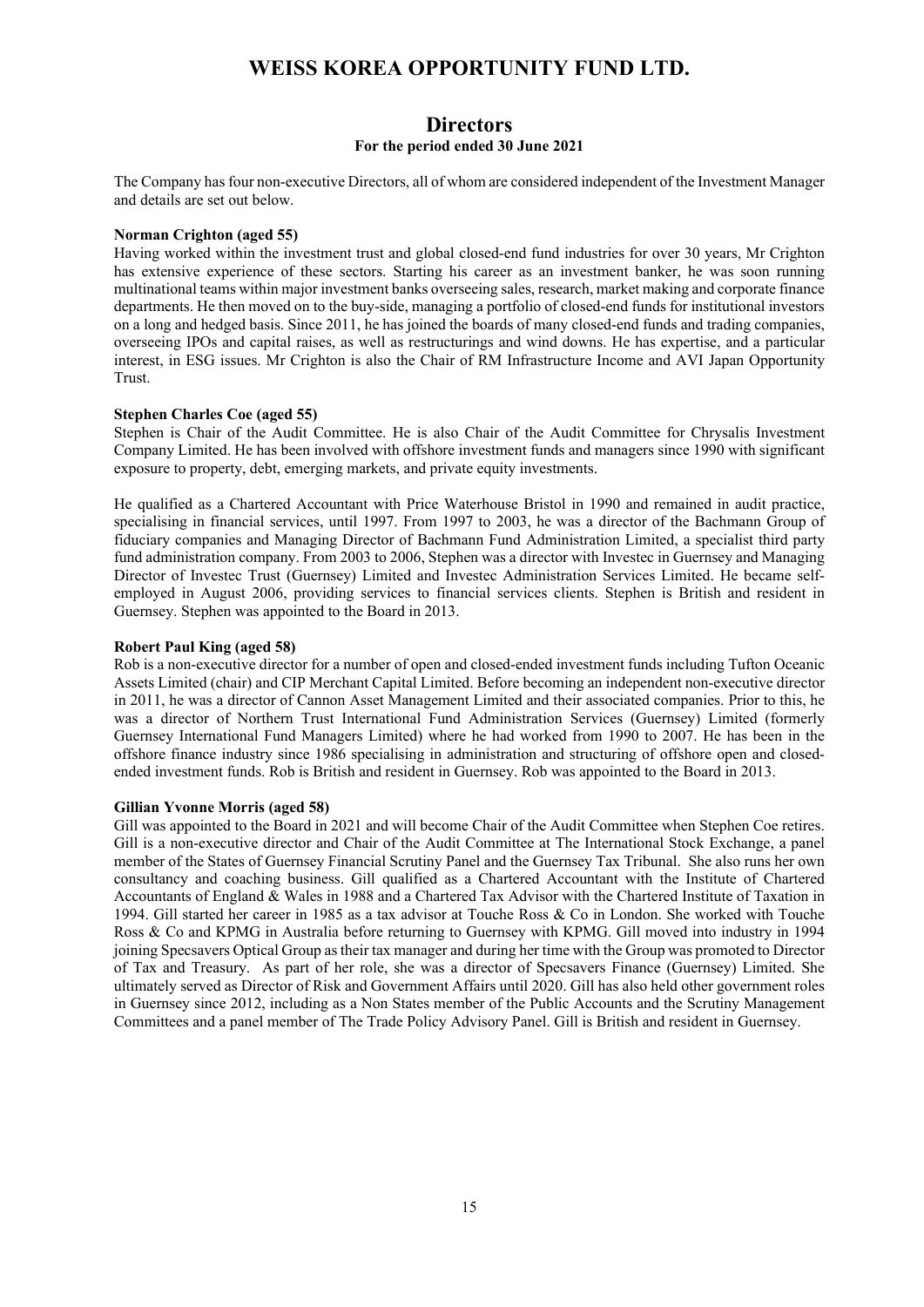### **Directors For the period ended 30 June 2021**

The Company has four non-executive Directors, all of whom are considered independent of the Investment Manager and details are set out below.

### **Norman Crighton (aged 55)**

Having worked within the investment trust and global closed-end fund industries for over 30 years, Mr Crighton has extensive experience of these sectors. Starting his career as an investment banker, he was soon running multinational teams within major investment banks overseeing sales, research, market making and corporate finance departments. He then moved on to the buy-side, managing a portfolio of closed-end funds for institutional investors on a long and hedged basis. Since 2011, he has joined the boards of many closed-end funds and trading companies, overseeing IPOs and capital raises, as well as restructurings and wind downs. He has expertise, and a particular interest, in ESG issues. Mr Crighton is also the Chair of RM Infrastructure Income and AVI Japan Opportunity Trust.

#### **Stephen Charles Coe (aged 55)**

Stephen is Chair of the Audit Committee. He is also Chair of the Audit Committee for Chrysalis Investment Company Limited. He has been involved with offshore investment funds and managers since 1990 with significant exposure to property, debt, emerging markets, and private equity investments.

He qualified as a Chartered Accountant with Price Waterhouse Bristol in 1990 and remained in audit practice, specialising in financial services, until 1997. From 1997 to 2003, he was a director of the Bachmann Group of fiduciary companies and Managing Director of Bachmann Fund Administration Limited, a specialist third party fund administration company. From 2003 to 2006, Stephen was a director with Investec in Guernsey and Managing Director of Investec Trust (Guernsey) Limited and Investec Administration Services Limited. He became selfemployed in August 2006, providing services to financial services clients. Stephen is British and resident in Guernsey. Stephen was appointed to the Board in 2013.

#### **Robert Paul King (aged 58)**

Rob is a non-executive director for a number of open and closed-ended investment funds including Tufton Oceanic Assets Limited (chair) and CIP Merchant Capital Limited. Before becoming an independent non-executive director in 2011, he was a director of Cannon Asset Management Limited and their associated companies. Prior to this, he was a director of Northern Trust International Fund Administration Services (Guernsey) Limited (formerly Guernsey International Fund Managers Limited) where he had worked from 1990 to 2007. He has been in the offshore finance industry since 1986 specialising in administration and structuring of offshore open and closedended investment funds. Rob is British and resident in Guernsey. Rob was appointed to the Board in 2013.

#### **Gillian Yvonne Morris (aged 58)**

Gill was appointed to the Board in 2021 and will become Chair of the Audit Committee when Stephen Coe retires. Gill is a non-executive director and Chair of the Audit Committee at The International Stock Exchange, a panel member of the States of Guernsey Financial Scrutiny Panel and the Guernsey Tax Tribunal. She also runs her own consultancy and coaching business. Gill qualified as a Chartered Accountant with the Institute of Chartered Accountants of England & Wales in 1988 and a Chartered Tax Advisor with the Chartered Institute of Taxation in 1994. Gill started her career in 1985 as a tax advisor at Touche Ross & Co in London. She worked with Touche Ross & Co and KPMG in Australia before returning to Guernsey with KPMG. Gill moved into industry in 1994 joining Specsavers Optical Group as their tax manager and during her time with the Group was promoted to Director of Tax and Treasury. As part of her role, she was a director of Specsavers Finance (Guernsey) Limited. She ultimately served as Director of Risk and Government Affairs until 2020. Gill has also held other government roles in Guernsey since 2012, including as a Non States member of the Public Accounts and the Scrutiny Management Committees and a panel member of The Trade Policy Advisory Panel. Gill is British and resident in Guernsey.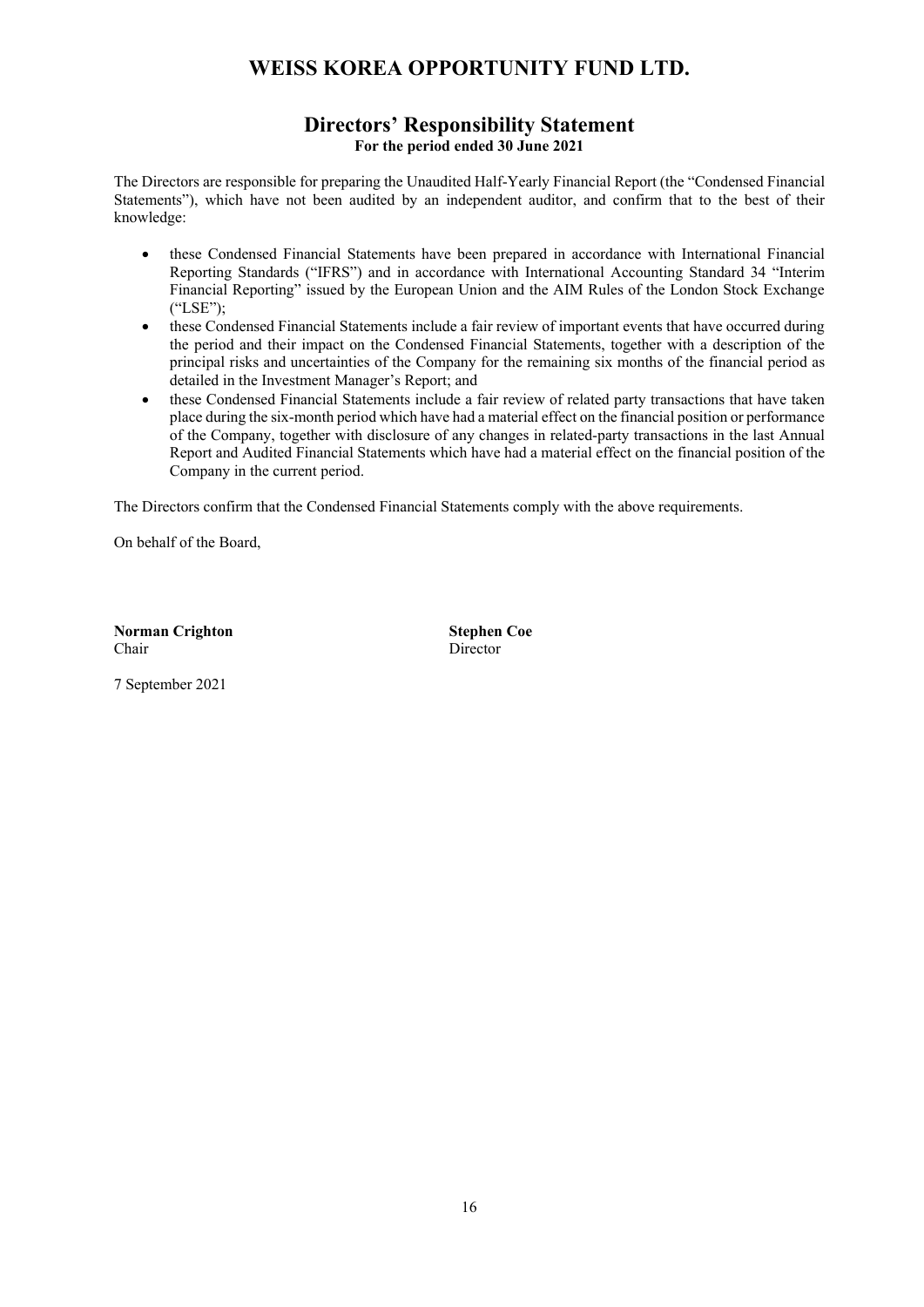## **Directors' Responsibility Statement For the period ended 30 June 2021**

The Directors are responsible for preparing the Unaudited Half-Yearly Financial Report (the "Condensed Financial Statements"), which have not been audited by an independent auditor, and confirm that to the best of their knowledge:

- these Condensed Financial Statements have been prepared in accordance with International Financial Reporting Standards ("IFRS") and in accordance with International Accounting Standard 34 "Interim Financial Reporting" issued by the European Union and the AIM Rules of the London Stock Exchange ("LSE");
- these Condensed Financial Statements include a fair review of important events that have occurred during the period and their impact on the Condensed Financial Statements, together with a description of the principal risks and uncertainties of the Company for the remaining six months of the financial period as detailed in the Investment Manager's Report; and
- these Condensed Financial Statements include a fair review of related party transactions that have taken place during the six-month period which have had a material effect on the financial position or performance of the Company, together with disclosure of any changes in related-party transactions in the last Annual Report and Audited Financial Statements which have had a material effect on the financial position of the Company in the current period.

The Directors confirm that the Condensed Financial Statements comply with the above requirements.

On behalf of the Board,

**Norman Crighton Stephen Coe**  Chair Director

7 September 2021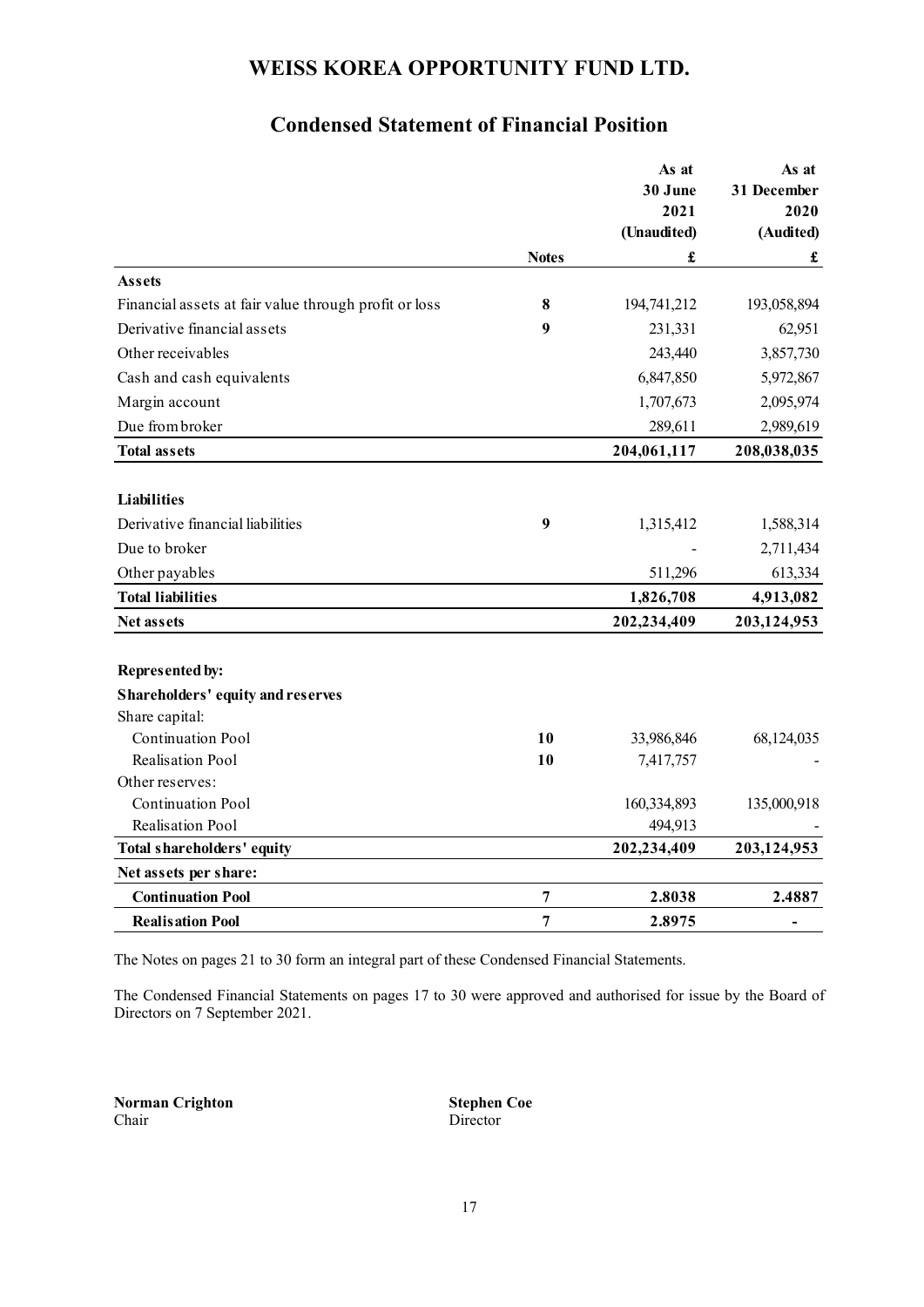# **Condensed Statement of Financial Position**

|                                                       |                | As at<br>30 June<br>2021 | As at<br>31 December<br>2020 |
|-------------------------------------------------------|----------------|--------------------------|------------------------------|
|                                                       |                | (Unaudited)              | (Audited)                    |
|                                                       | <b>Notes</b>   | £                        | $\pmb{\mathfrak{L}}$         |
| <b>Assets</b>                                         |                |                          |                              |
| Financial assets at fair value through profit or loss | 8              | 194,741,212              | 193,058,894                  |
| Derivative financial assets                           | 9              | 231,331                  | 62,951                       |
| Other receivables                                     |                | 243,440                  | 3,857,730                    |
| Cash and cash equivalents                             |                | 6,847,850                | 5,972,867                    |
| Margin account                                        |                | 1,707,673                | 2,095,974                    |
| Due from broker                                       |                | 289,611                  | 2,989,619                    |
| <b>Total assets</b>                                   |                | 204,061,117              | 208,038,035                  |
|                                                       |                |                          |                              |
| <b>Liabilities</b>                                    |                |                          |                              |
| Derivative financial liabilities                      | 9              | 1,315,412                | 1,588,314                    |
| Due to broker                                         |                |                          | 2,711,434                    |
| Other payables                                        |                | 511,296                  | 613,334                      |
| <b>Total liabilities</b>                              |                | 1,826,708                | 4,913,082                    |
| <b>Net assets</b>                                     |                | 202,234,409              | 203,124,953                  |
| <b>Represented by:</b>                                |                |                          |                              |
| Shareholders' equity and reserves                     |                |                          |                              |
| Share capital:                                        |                |                          |                              |
| <b>Continuation Pool</b>                              | 10             | 33,986,846               | 68,124,035                   |
| Realisation Pool                                      | 10             | 7,417,757                |                              |
| Other reserves:                                       |                |                          |                              |
| Continuation Pool                                     |                | 160,334,893              | 135,000,918                  |
| Realisation Pool                                      |                | 494,913                  |                              |
| Total shareholders' equity                            |                | 202,234,409              | 203,124,953                  |
| Net assets per share:                                 |                |                          |                              |
| <b>Continuation Pool</b>                              | 7              | 2.8038                   | 2.4887                       |
| <b>Realisation Pool</b>                               | $\overline{7}$ | 2.8975                   | $\qquad \qquad \blacksquare$ |

The Notes on pages 21 to 30 form an integral part of these Condensed Financial Statements.

The Condensed Financial Statements on pages 17 to 30 were approved and authorised for issue by the Board of Directors on 7 September 2021.

**Norman Crighton Stephen Coe** Chair Director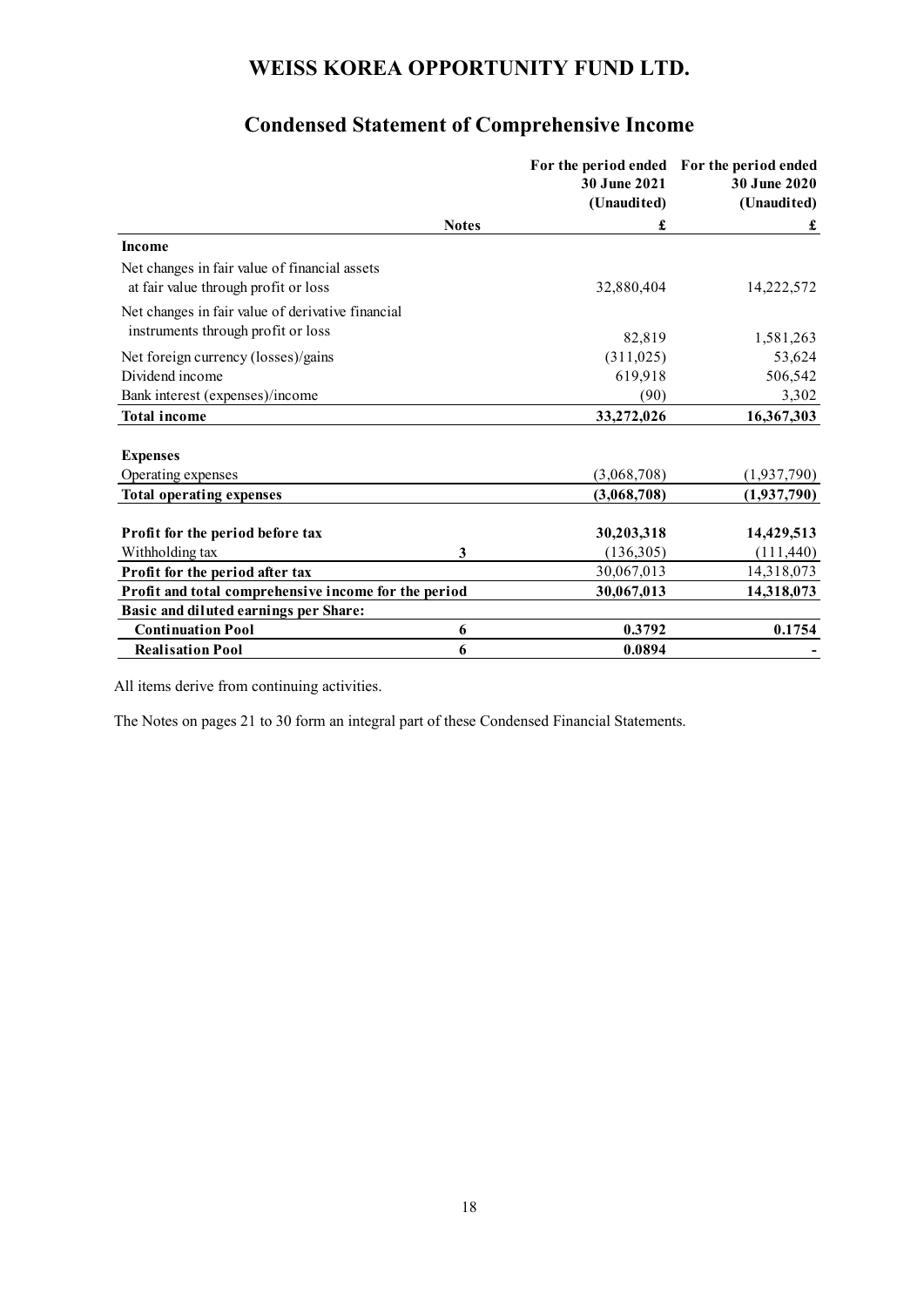|                                                                                       |              | 30 June 2021<br>(Unaudited) | For the period ended For the period ended<br>30 June 2020<br>(Unaudited) |
|---------------------------------------------------------------------------------------|--------------|-----------------------------|--------------------------------------------------------------------------|
|                                                                                       | <b>Notes</b> | £                           | £                                                                        |
| <b>Income</b>                                                                         |              |                             |                                                                          |
| Net changes in fair value of financial assets<br>at fair value through profit or loss |              | 32,880,404                  | 14,222,572                                                               |
| Net changes in fair value of derivative financial                                     |              |                             |                                                                          |
| instruments through profit or loss                                                    |              | 82,819                      | 1,581,263                                                                |
| Net foreign currency (losses)/gains                                                   |              | (311, 025)                  | 53,624                                                                   |
| Dividend income                                                                       |              | 619,918                     | 506,542                                                                  |
| Bank interest (expenses)/income                                                       |              | (90)                        | 3,302                                                                    |
| <b>Total income</b>                                                                   |              | 33,272,026                  | 16,367,303                                                               |
|                                                                                       |              |                             |                                                                          |
| <b>Expenses</b>                                                                       |              |                             |                                                                          |
| Operating expenses                                                                    |              | (3,068,708)                 | (1,937,790)                                                              |
| <b>Total operating expenses</b>                                                       |              | (3,068,708)                 | (1,937,790)                                                              |
| Profit for the period before tax                                                      |              | 30,203,318                  | 14,429,513                                                               |
| Withholding tax                                                                       | 3            | (136,305)                   | (111, 440)                                                               |
| Profit for the period after tax                                                       |              | 30,067,013                  | 14,318,073                                                               |
| Profit and total comprehensive income for the period                                  |              | 30,067,013                  | 14,318,073                                                               |
| Basic and diluted earnings per Share:                                                 |              |                             |                                                                          |
| <b>Continuation Pool</b>                                                              | 6            | 0.3792                      | 0.1754                                                                   |
| <b>Realisation Pool</b>                                                               | 6            | 0.0894                      |                                                                          |

# **Condensed Statement of Comprehensive Income**

All items derive from continuing activities.

The Notes on pages 21 to 30 form an integral part of these Condensed Financial Statements.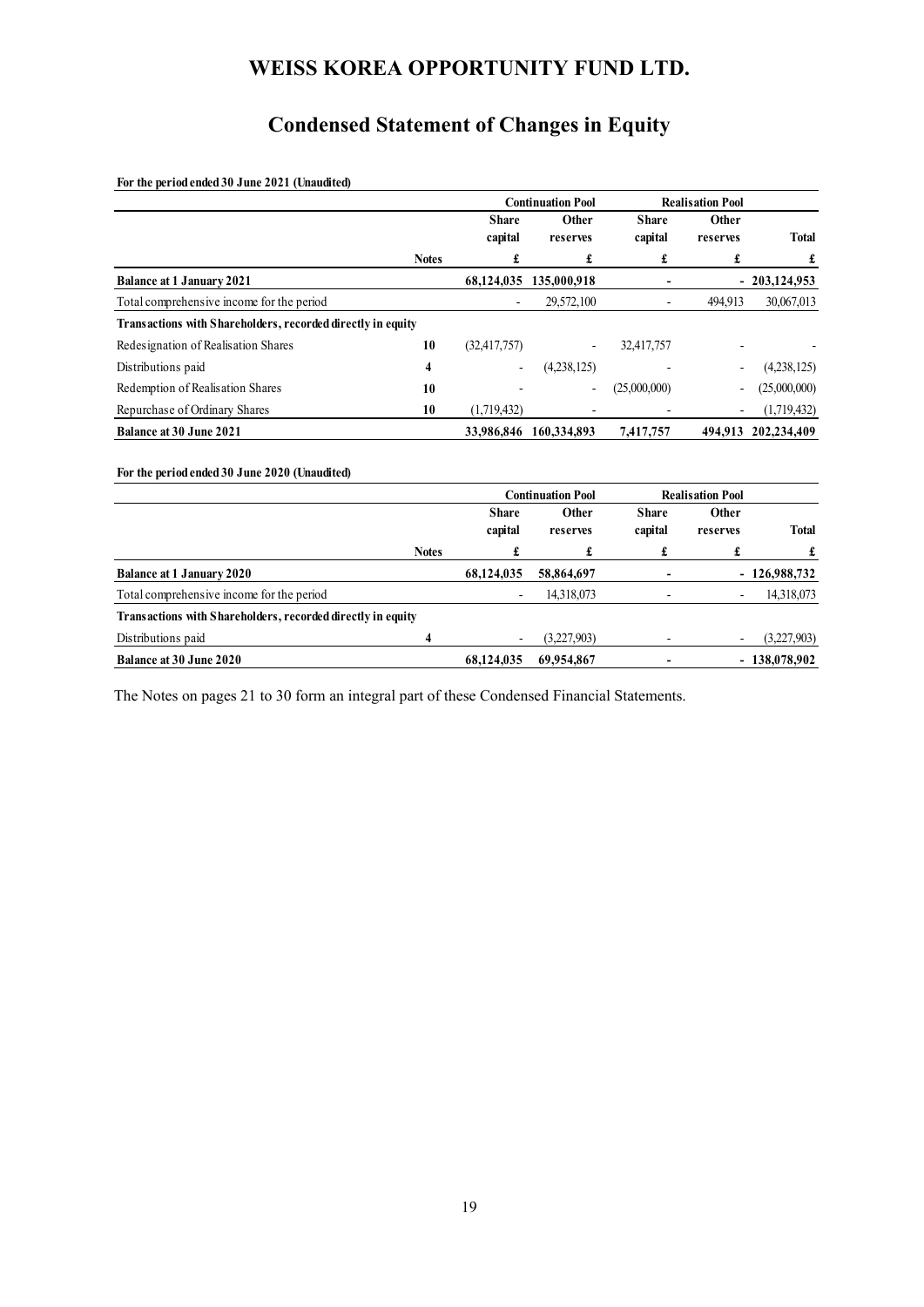# **Condensed Statement of Changes in Equity**

**For the period ended 30 June 2021 (Unaudited)**

|                                                             |              |                | <b>Continuation Pool</b> |              | <b>Realisation Pool</b>  |                |
|-------------------------------------------------------------|--------------|----------------|--------------------------|--------------|--------------------------|----------------|
|                                                             |              | <b>Share</b>   | <b>Other</b>             | <b>Share</b> | Other                    |                |
|                                                             |              | capital        | reserves                 | capital      | reserves                 | <b>Total</b>   |
|                                                             | <b>Notes</b> | £              | £                        | £            | £                        | £              |
| <b>Balance at 1 January 2021</b>                            |              | 68,124,035     | 135,000,918              |              |                          | $-203,124,953$ |
| Total comprehensive income for the period                   |              |                | 29,572,100               |              | 494,913                  | 30,067,013     |
| Transactions with Shareholders, recorded directly in equity |              |                |                          |              |                          |                |
| Redesignation of Realisation Shares                         | 10           | (32, 417, 757) | $\overline{\phantom{a}}$ | 32,417,757   |                          |                |
| Distributions paid                                          | 4            |                | (4,238,125)              |              |                          | (4,238,125)    |
| Redemption of Realisation Shares                            | 10           |                |                          | (25,000,000) |                          | (25,000,000)   |
| Repurchase of Ordinary Shares                               | 10           | (1,719,432)    |                          |              | $\overline{\phantom{a}}$ | (1,719,432)    |
| <b>Balance at 30 June 2021</b>                              |              |                | 33,986,846 160,334,893   | 7,417,757    | 494,913                  | 202,234,409    |
|                                                             |              |                |                          |              |                          |                |
| For the period ended 30 June 2020 (Unaudited)               |              |                |                          |              |                          |                |
|                                                             |              |                | <b>Continuation Pool</b> |              | <b>Realisation Pool</b>  |                |
|                                                             |              | <b>Share</b>   | Other                    | <b>Share</b> | Other                    |                |
|                                                             |              | capital        | reserves                 | capital      | reserves                 | <b>Total</b>   |
|                                                             | <b>Notes</b> | £              | £                        | £            | £                        | £              |
| <b>Balance at 1 January 2020</b>                            |              | 68,124,035     | 58,864,697               |              |                          | $-126,988,732$ |
| Total comprehensive income for the period                   |              |                | 14,318,073               |              |                          | 14,318,073     |
| Transactions with Shareholders, recorded directly in equity |              |                |                          |              |                          |                |
| Distributions paid                                          | 4            |                | (3,227,903)              |              |                          | (3,227,903)    |
| <b>Balance at 30 June 2020</b>                              |              | 68,124,035     | 69,954,867               |              |                          | $-138,078,902$ |

The Notes on pages 21 to 30 form an integral part of these Condensed Financial Statements.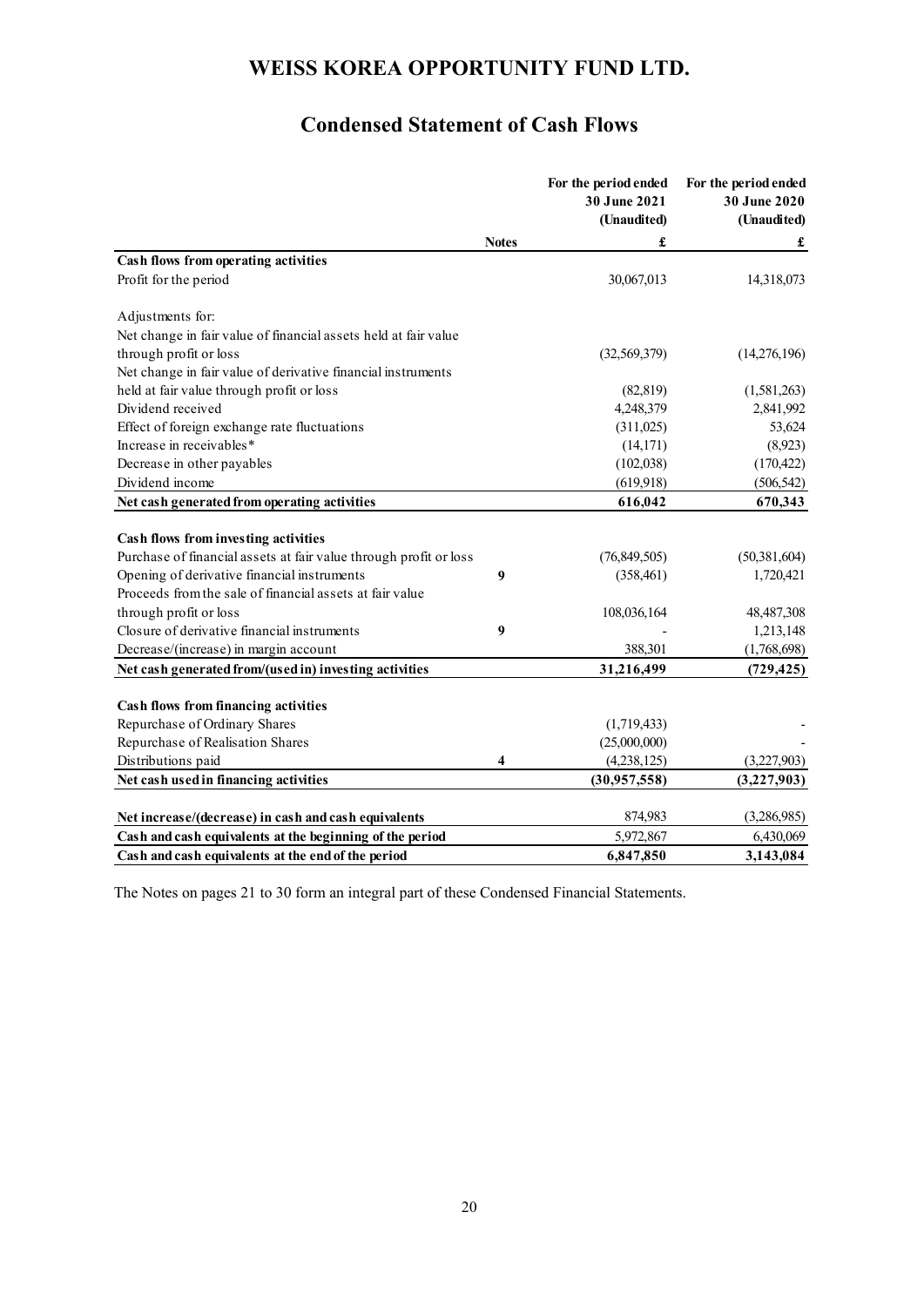# **Condensed Statement of Cash Flows**

|                                                                   |              | For the period ended<br>30 June 2021<br>(Unaudited) | For the period ended<br>30 June 2020<br>(Unaudited) |
|-------------------------------------------------------------------|--------------|-----------------------------------------------------|-----------------------------------------------------|
|                                                                   | <b>Notes</b> | £                                                   | £                                                   |
| Cash flows from operating activities                              |              |                                                     |                                                     |
| Profit for the period                                             |              | 30,067,013                                          | 14,318,073                                          |
| Adjustments for:                                                  |              |                                                     |                                                     |
| Net change in fair value of financial assets held at fair value   |              |                                                     |                                                     |
| through profit or loss                                            |              | (32, 569, 379)                                      | (14,276,196)                                        |
| Net change in fair value of derivative financial instruments      |              |                                                     |                                                     |
| held at fair value through profit or loss                         |              | (82, 819)                                           | (1,581,263)                                         |
| Dividend received                                                 |              | 4,248,379                                           | 2,841,992                                           |
| Effect of foreign exchange rate fluctuations                      |              | (311, 025)                                          | 53,624                                              |
| Increase in receivables*                                          |              | (14, 171)                                           | (8,923)                                             |
| Decrease in other payables                                        |              | (102, 038)                                          | (170, 422)                                          |
| Dividend income                                                   |              | (619, 918)                                          | (506, 542)                                          |
| Net cash generated from operating activities                      |              | 616,042                                             | 670,343                                             |
| Cash flows from investing activities                              |              |                                                     |                                                     |
| Purchase of financial assets at fair value through profit or loss |              | (76, 849, 505)                                      | (50, 381, 604)                                      |
| Opening of derivative financial instruments                       | 9            | (358, 461)                                          | 1,720,421                                           |
| Proceeds from the sale of financial assets at fair value          |              |                                                     |                                                     |
| through profit or loss                                            |              | 108,036,164                                         | 48,487,308                                          |
| Closure of derivative financial instruments                       | 9            |                                                     | 1,213,148                                           |
|                                                                   |              | 388,301                                             | (1,768,698)                                         |
| Decrease/(increase) in margin account                             |              | 31,216,499                                          |                                                     |
| Net cash generated from/(used in) investing activities            |              |                                                     | (729, 425)                                          |
| <b>Cash flows from financing activities</b>                       |              |                                                     |                                                     |
| Repurchase of Ordinary Shares                                     |              | (1,719,433)                                         |                                                     |
| Repurchase of Realisation Shares                                  |              | (25,000,000)                                        |                                                     |
| Distributions paid                                                | 4            | (4,238,125)                                         | (3,227,903)                                         |
| Net cash used in financing activities                             |              | (30,957,558)                                        | (3,227,903)                                         |
|                                                                   |              |                                                     |                                                     |
| Net increase/(decrease) in cash and cash equivalents              |              | 874,983                                             | (3,286,985)                                         |
| Cash and cash equivalents at the beginning of the period          |              | 5,972,867                                           | 6,430,069                                           |
| Cash and cash equivalents at the end of the period                |              | 6,847,850                                           | 3,143,084                                           |

The Notes on pages 21 to 30 form an integral part of these Condensed Financial Statements.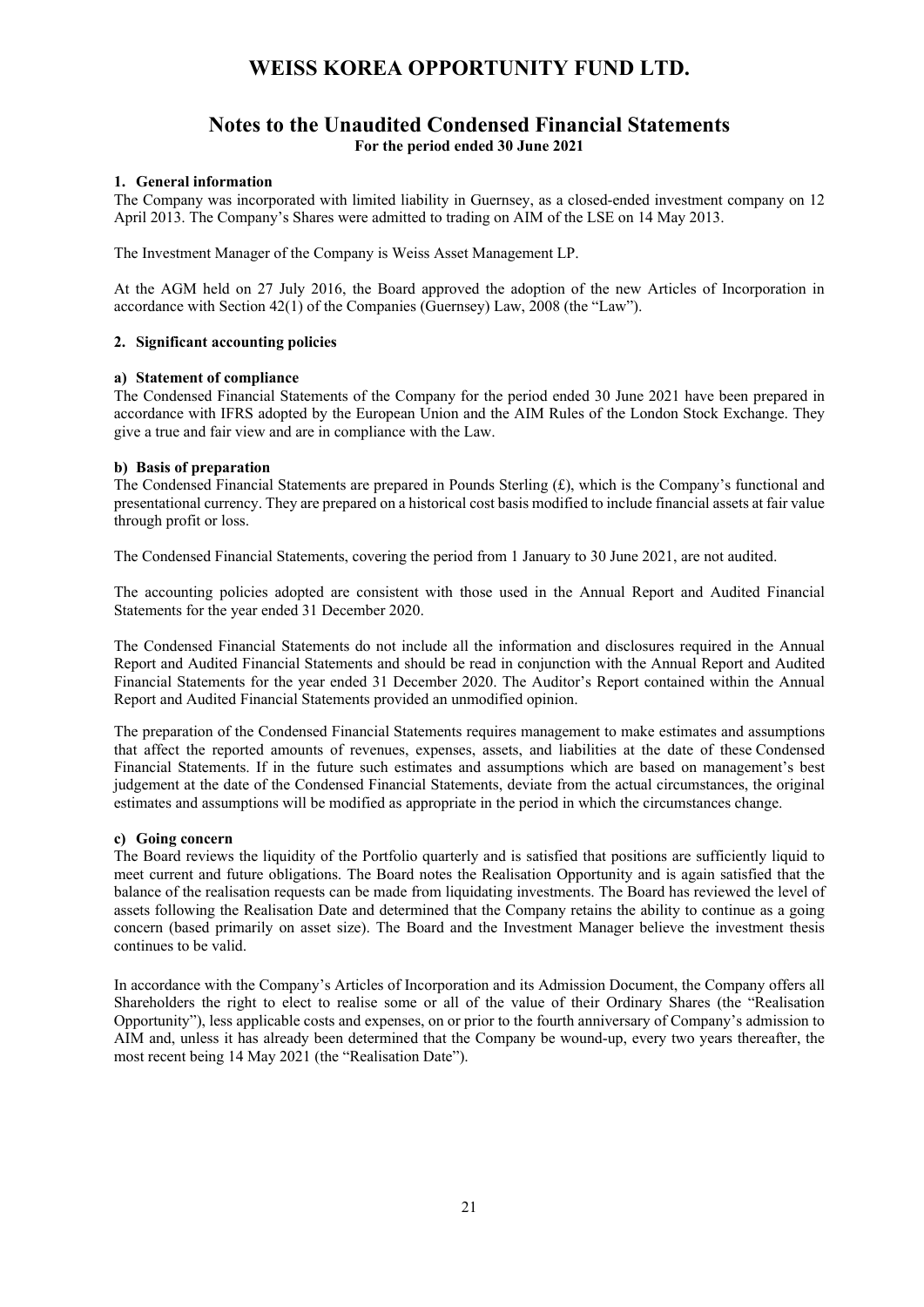## **Notes to the Unaudited Condensed Financial Statements For the period ended 30 June 2021**

### **1. General information**

The Company was incorporated with limited liability in Guernsey, as a closed-ended investment company on 12 April 2013. The Company's Shares were admitted to trading on AIM of the LSE on 14 May 2013.

The Investment Manager of the Company is Weiss Asset Management LP.

At the AGM held on 27 July 2016, the Board approved the adoption of the new Articles of Incorporation in accordance with Section 42(1) of the Companies (Guernsey) Law, 2008 (the "Law").

### **2. Significant accounting policies**

#### **a) Statement of compliance**

The Condensed Financial Statements of the Company for the period ended 30 June 2021 have been prepared in accordance with IFRS adopted by the European Union and the AIM Rules of the London Stock Exchange. They give a true and fair view and are in compliance with the Law.

#### **b) Basis of preparation**

The Condensed Financial Statements are prepared in Pounds Sterling  $(f)$ , which is the Company's functional and presentational currency. They are prepared on a historical cost basis modified to include financial assets at fair value through profit or loss.

The Condensed Financial Statements, covering the period from 1 January to 30 June 2021, are not audited.

The accounting policies adopted are consistent with those used in the Annual Report and Audited Financial Statements for the year ended 31 December 2020.

The Condensed Financial Statements do not include all the information and disclosures required in the Annual Report and Audited Financial Statements and should be read in conjunction with the Annual Report and Audited Financial Statements for the year ended 31 December 2020. The Auditor's Report contained within the Annual Report and Audited Financial Statements provided an unmodified opinion.

The preparation of the Condensed Financial Statements requires management to make estimates and assumptions that affect the reported amounts of revenues, expenses, assets, and liabilities at the date of these Condensed Financial Statements. If in the future such estimates and assumptions which are based on management's best judgement at the date of the Condensed Financial Statements, deviate from the actual circumstances, the original estimates and assumptions will be modified as appropriate in the period in which the circumstances change.

#### **c) Going concern**

The Board reviews the liquidity of the Portfolio quarterly and is satisfied that positions are sufficiently liquid to meet current and future obligations. The Board notes the Realisation Opportunity and is again satisfied that the balance of the realisation requests can be made from liquidating investments. The Board has reviewed the level of assets following the Realisation Date and determined that the Company retains the ability to continue as a going concern (based primarily on asset size). The Board and the Investment Manager believe the investment thesis continues to be valid.

In accordance with the Company's Articles of Incorporation and its Admission Document, the Company offers all Shareholders the right to elect to realise some or all of the value of their Ordinary Shares (the "Realisation Opportunity"), less applicable costs and expenses, on or prior to the fourth anniversary of Company's admission to AIM and, unless it has already been determined that the Company be wound-up, every two years thereafter, the most recent being 14 May 2021 (the "Realisation Date").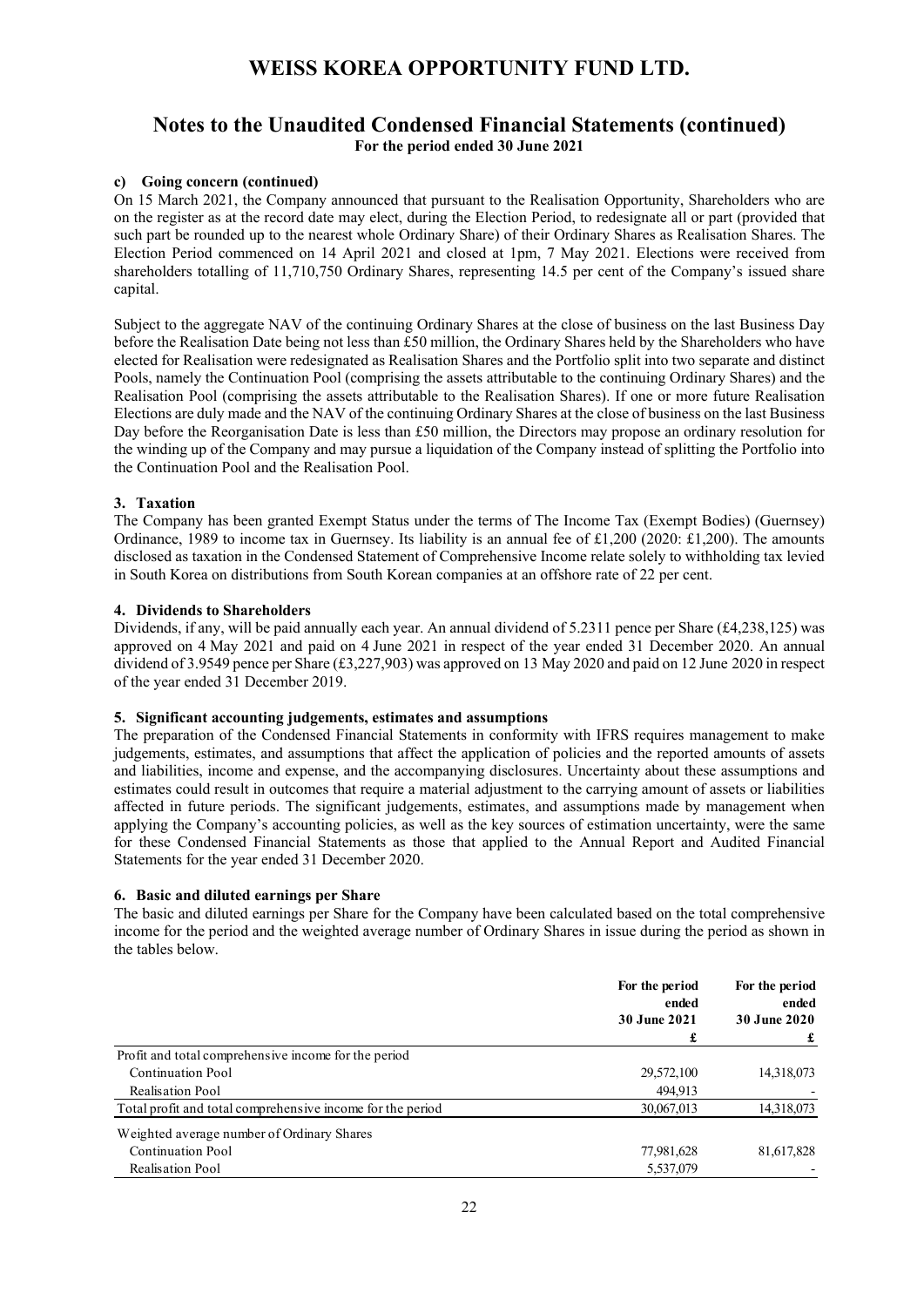## **Notes to the Unaudited Condensed Financial Statements (continued) For the period ended 30 June 2021**

### **c) Going concern (continued)**

On 15 March 2021, the Company announced that pursuant to the Realisation Opportunity, Shareholders who are on the register as at the record date may elect, during the Election Period, to redesignate all or part (provided that such part be rounded up to the nearest whole Ordinary Share) of their Ordinary Shares as Realisation Shares. The Election Period commenced on 14 April 2021 and closed at 1pm, 7 May 2021. Elections were received from shareholders totalling of 11,710,750 Ordinary Shares, representing 14.5 per cent of the Company's issued share capital.

Subject to the aggregate NAV of the continuing Ordinary Shares at the close of business on the last Business Day before the Realisation Date being not less than £50 million, the Ordinary Shares held by the Shareholders who have elected for Realisation were redesignated as Realisation Shares and the Portfolio split into two separate and distinct Pools, namely the Continuation Pool (comprising the assets attributable to the continuing Ordinary Shares) and the Realisation Pool (comprising the assets attributable to the Realisation Shares). If one or more future Realisation Elections are duly made and the NAV of the continuing Ordinary Shares at the close of business on the last Business Day before the Reorganisation Date is less than £50 million, the Directors may propose an ordinary resolution for the winding up of the Company and may pursue a liquidation of the Company instead of splitting the Portfolio into the Continuation Pool and the Realisation Pool.

### **3. Taxation**

The Company has been granted Exempt Status under the terms of The Income Tax (Exempt Bodies) (Guernsey) Ordinance, 1989 to income tax in Guernsey. Its liability is an annual fee of £1,200 (2020: £1,200). The amounts disclosed as taxation in the Condensed Statement of Comprehensive Income relate solely to withholding tax levied in South Korea on distributions from South Korean companies at an offshore rate of 22 per cent.

### **4. Dividends to Shareholders**

Dividends, if any, will be paid annually each year. An annual dividend of 5.2311 pence per Share (£4,238,125) was approved on 4 May 2021 and paid on 4 June 2021 in respect of the year ended 31 December 2020. An annual dividend of 3.9549 pence per Share (£3,227,903) was approved on 13 May 2020 and paid on 12 June 2020 in respect of the year ended 31 December 2019.

### **5. Significant accounting judgements, estimates and assumptions**

The preparation of the Condensed Financial Statements in conformity with IFRS requires management to make judgements, estimates, and assumptions that affect the application of policies and the reported amounts of assets and liabilities, income and expense, and the accompanying disclosures. Uncertainty about these assumptions and estimates could result in outcomes that require a material adjustment to the carrying amount of assets or liabilities affected in future periods. The significant judgements, estimates, and assumptions made by management when applying the Company's accounting policies, as well as the key sources of estimation uncertainty, were the same for these Condensed Financial Statements as those that applied to the Annual Report and Audited Financial Statements for the year ended 31 December 2020.

### **6. Basic and diluted earnings per Share**

The basic and diluted earnings per Share for the Company have been calculated based on the total comprehensive income for the period and the weighted average number of Ordinary Shares in issue during the period as shown in the tables below.

|                                                            | For the period<br>ended  | For the period<br>ended |  |
|------------------------------------------------------------|--------------------------|-------------------------|--|
|                                                            | <b>30 June 2021</b><br>£ | <b>30 June 2020</b>     |  |
|                                                            |                          |                         |  |
| Profit and total comprehensive income for the period       |                          |                         |  |
| Continuation Pool                                          | 29,572,100               | 14,318,073              |  |
| Realisation Pool                                           | 494,913                  |                         |  |
| Total profit and total comprehensive income for the period | 30,067,013               | 14,318,073              |  |
| Weighted average number of Ordinary Shares                 |                          |                         |  |
| <b>Continuation Pool</b>                                   | 77,981,628               | 81,617,828              |  |
| Realisation Pool                                           | 5,537,079                |                         |  |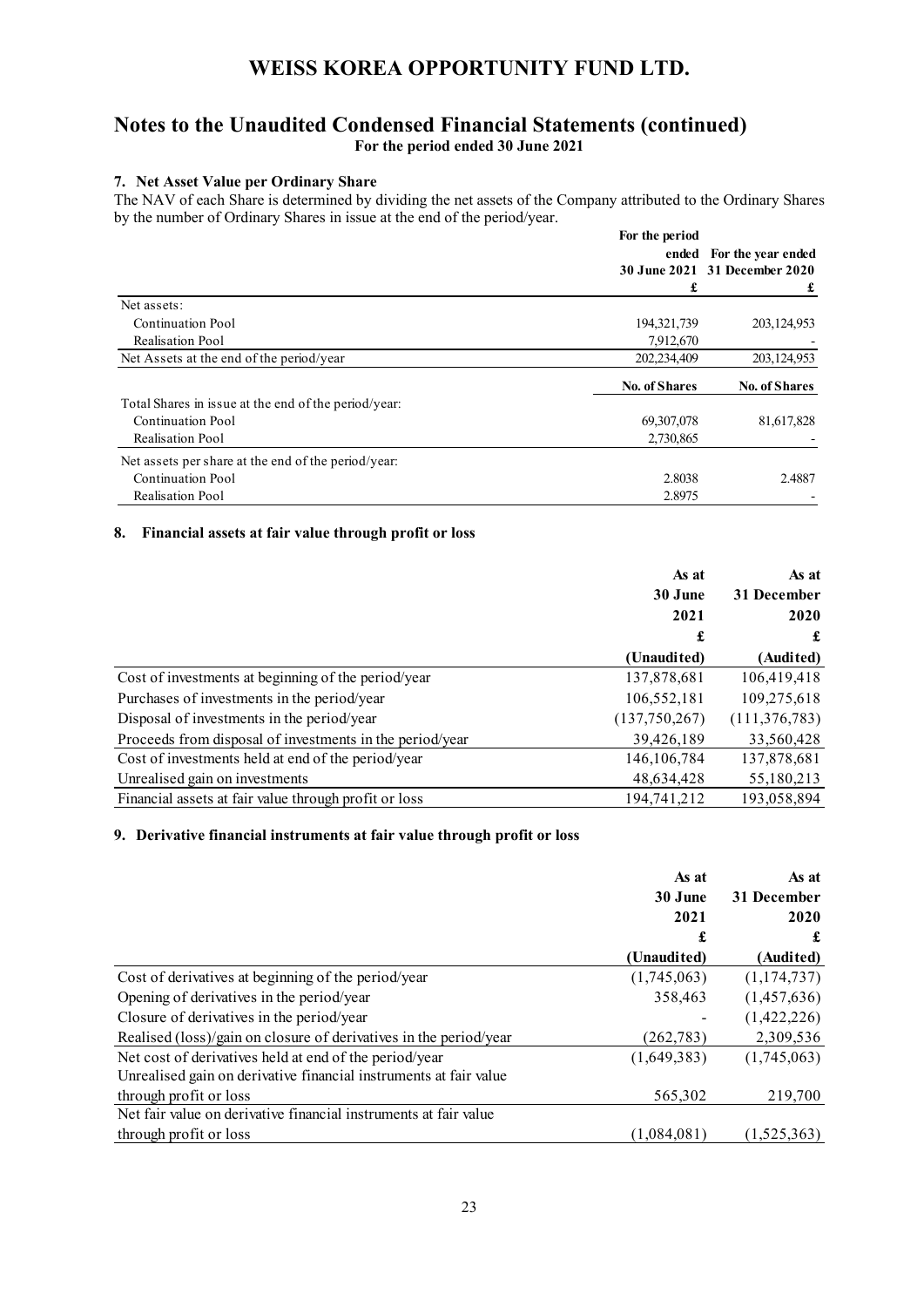## **Notes to the Unaudited Condensed Financial Statements (continued) For the period ended 30 June 2021**

### **7. Net Asset Value per Ordinary Share**

The NAV of each Share is determined by dividing the net assets of the Company attributed to the Ordinary Shares by the number of Ordinary Shares in issue at the end of the period/year.

|                                                      | For the period       |                               |
|------------------------------------------------------|----------------------|-------------------------------|
|                                                      | ended                | For the year ended            |
|                                                      |                      | 30 June 2021 31 December 2020 |
|                                                      | £                    |                               |
| Net assets:                                          |                      |                               |
| Continuation Pool                                    | 194, 321, 739        | 203, 124, 953                 |
| Realisation Pool                                     | 7,912,670            |                               |
| Net Assets at the end of the period/year             | 202,234,409          | 203,124,953                   |
|                                                      | <b>No. of Shares</b> | <b>No. of Shares</b>          |
| Total Shares in issue at the end of the period/year: |                      |                               |
| <b>Continuation Pool</b>                             | 69, 307, 078         | 81,617,828                    |
| Realisation Pool                                     | 2,730,865            |                               |
| Net assets per share at the end of the period/year:  |                      |                               |
| <b>Continuation Pool</b>                             | 2.8038               | 2.4887                        |
| Realisation Pool                                     | 2.8975               |                               |

### **8. Financial assets at fair value through profit or loss**

|                                                          | As at         | As at           |
|----------------------------------------------------------|---------------|-----------------|
|                                                          | 30 June       | 31 December     |
|                                                          | 2021          | 2020            |
|                                                          | £             | £               |
|                                                          | (Unaudited)   | (Audited)       |
| Cost of investments at beginning of the period/year      | 137,878,681   | 106,419,418     |
| Purchases of investments in the period/year              | 106,552,181   | 109,275,618     |
| Disposal of investments in the period/year               | (137,750,267) | (111, 376, 783) |
| Proceeds from disposal of investments in the period/year | 39,426,189    | 33,560,428      |
| Cost of investments held at end of the period/year       | 146, 106, 784 | 137,878,681     |
| Unrealised gain on investments                           | 48,634,428    | 55,180,213      |
| Financial assets at fair value through profit or loss    | 194,741,212   | 193,058,894     |

### **9. Derivative financial instruments at fair value through profit or loss**

|                                                                   | As at       | As at       |  |
|-------------------------------------------------------------------|-------------|-------------|--|
|                                                                   | 30 June     | 31 December |  |
|                                                                   | 2021        | 2020        |  |
|                                                                   | £           | £           |  |
|                                                                   | (Unaudited) | (Audited)   |  |
| Cost of derivatives at beginning of the period/year               | (1,745,063) | (1,174,737) |  |
| Opening of derivatives in the period/year                         | 358,463     | (1,457,636) |  |
| Closure of derivatives in the period/year                         |             | (1,422,226) |  |
| Realised (loss)/gain on closure of derivatives in the period/year | (262, 783)  | 2,309,536   |  |
| Net cost of derivatives held at end of the period/year            | (1,649,383) | (1,745,063) |  |
| Unrealised gain on derivative financial instruments at fair value |             |             |  |
| through profit or loss                                            | 565,302     | 219,700     |  |
| Net fair value on derivative financial instruments at fair value  |             |             |  |
| through profit or loss                                            | (1.084.081) | (1.525.363) |  |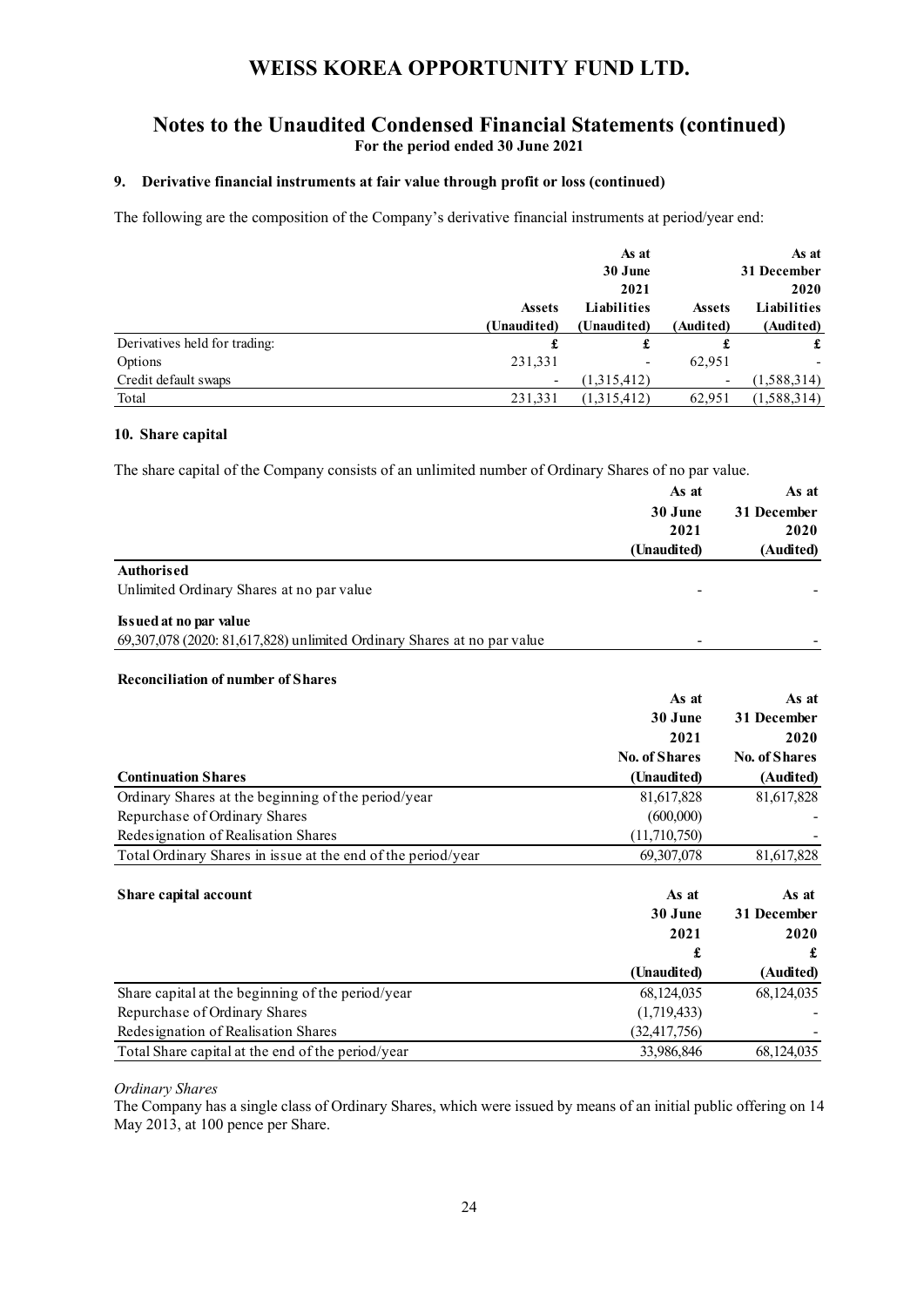## **Notes to the Unaudited Condensed Financial Statements (continued) For the period ended 30 June 2021**

### **9. Derivative financial instruments at fair value through profit or loss (continued)**

The following are the composition of the Company's derivative financial instruments at period/year end:

|                               |                          | As at       |                          | As at       |
|-------------------------------|--------------------------|-------------|--------------------------|-------------|
|                               |                          | 30 June     |                          | 31 December |
|                               |                          | 2021        |                          | 2020        |
|                               | <b>Assets</b>            | Liabilities | <b>Assets</b>            | Liabilities |
|                               | (Unaudited)              | (Unaudited) | (Audited)                | (Audited)   |
| Derivatives held for trading: | £                        | £           |                          | £           |
| Options                       | 231,331                  |             | 62,951                   |             |
| Credit default swaps          | $\overline{\phantom{a}}$ | (1,315,412) | $\overline{\phantom{a}}$ | (1,588,314) |
| Total                         | 231,331                  | (1,315,412) | 62,951                   | (1,588,314) |

### **10. Share capital**

The share capital of the Company consists of an unlimited number of Ordinary Shares of no par value.

|                                                                         | As at                | As at                |
|-------------------------------------------------------------------------|----------------------|----------------------|
|                                                                         | 30 June              | 31 December          |
|                                                                         | 2021                 | 2020                 |
|                                                                         | (Unaudited)          | (Audited)            |
| <b>Authorised</b>                                                       |                      |                      |
| Unlimited Ordinary Shares at no par value                               |                      |                      |
| Issued at no par value                                                  |                      |                      |
| 69,307,078 (2020: 81,617,828) unlimited Ordinary Shares at no par value |                      |                      |
| <b>Reconciliation of number of Shares</b>                               |                      |                      |
|                                                                         | As at                | As at                |
|                                                                         | 30 June              | 31 December          |
|                                                                         | 2021                 | 2020                 |
|                                                                         | <b>No. of Shares</b> | <b>No. of Shares</b> |
| <b>Continuation Shares</b>                                              | (Unaudited)          | (Audited)            |
| Ordinary Shares at the beginning of the period/year                     | 81,617,828           | 81,617,828           |
| Repurchase of Ordinary Shares                                           | (600,000)            |                      |
| Redesignation of Realisation Shares                                     | (11,710,750)         |                      |
| Total Ordinary Shares in issue at the end of the period/year            | 69,307,078           | 81,617,828           |
|                                                                         |                      |                      |
| Share capital account                                                   | As at                | As at                |
|                                                                         | 30 June              | 31 December          |
|                                                                         | 2021                 | 2020                 |
|                                                                         | £                    | £                    |
|                                                                         | (Unaudited)          | (Audited)            |
| Share capital at the beginning of the period/year                       | 68,124,035           | 68,124,035           |
| Repurchase of Ordinary Shares                                           | (1,719,433)          |                      |
| Redesignation of Realisation Shares                                     | (32, 417, 756)       |                      |
| Total Share capital at the end of the period/year                       | 33,986,846           | 68,124,035           |

### *Ordinary Shares*

The Company has a single class of Ordinary Shares, which were issued by means of an initial public offering on 14 May 2013, at 100 pence per Share.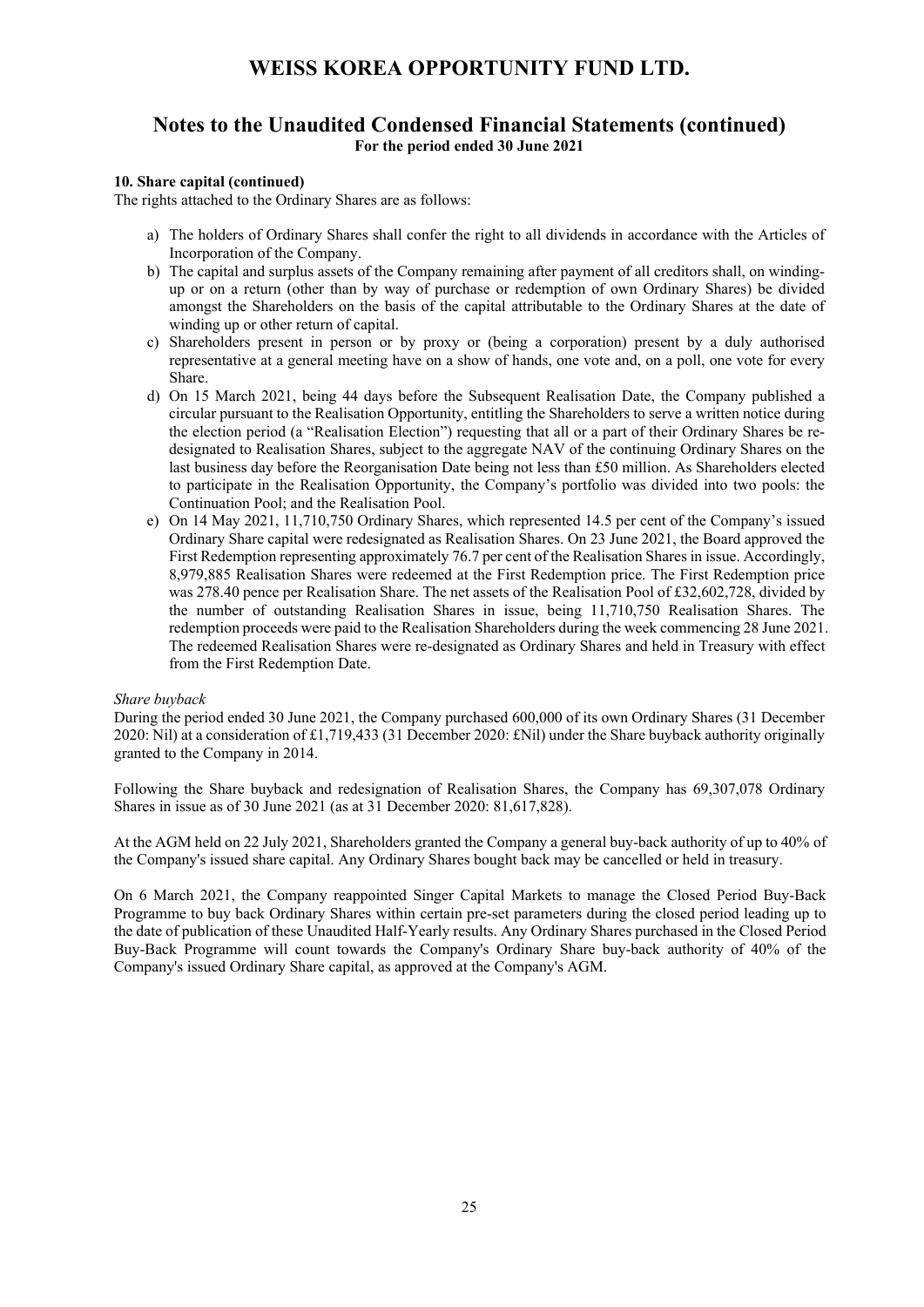## **Notes to the Unaudited Condensed Financial Statements (continued) For the period ended 30 June 2021**

### **10. Share capital (continued)**

The rights attached to the Ordinary Shares are as follows:

- a) The holders of Ordinary Shares shall confer the right to all dividends in accordance with the Articles of Incorporation of the Company.
- b) The capital and surplus assets of the Company remaining after payment of all creditors shall, on windingup or on a return (other than by way of purchase or redemption of own Ordinary Shares) be divided amongst the Shareholders on the basis of the capital attributable to the Ordinary Shares at the date of winding up or other return of capital.
- c) Shareholders present in person or by proxy or (being a corporation) present by a duly authorised representative at a general meeting have on a show of hands, one vote and, on a poll, one vote for every Share.
- d) On 15 March 2021, being 44 days before the Subsequent Realisation Date, the Company published a circular pursuant to the Realisation Opportunity, entitling the Shareholders to serve a written notice during the election period (a "Realisation Election") requesting that all or a part of their Ordinary Shares be redesignated to Realisation Shares, subject to the aggregate NAV of the continuing Ordinary Shares on the last business day before the Reorganisation Date being not less than £50 million. As Shareholders elected to participate in the Realisation Opportunity, the Company's portfolio was divided into two pools: the Continuation Pool; and the Realisation Pool.
- e) On 14 May 2021, 11,710,750 Ordinary Shares, which represented 14.5 per cent of the Company's issued Ordinary Share capital were redesignated as Realisation Shares. On 23 June 2021, the Board approved the First Redemption representing approximately 76.7 per cent of the Realisation Shares in issue. Accordingly, 8,979,885 Realisation Shares were redeemed at the First Redemption price. The First Redemption price was 278.40 pence per Realisation Share. The net assets of the Realisation Pool of £32,602,728, divided by the number of outstanding Realisation Shares in issue, being 11,710,750 Realisation Shares. The redemption proceeds were paid to the Realisation Shareholders during the week commencing 28 June 2021. The redeemed Realisation Shares were re-designated as Ordinary Shares and held in Treasury with effect from the First Redemption Date.

#### *Share buyback*

During the period ended 30 June 2021, the Company purchased 600,000 of its own Ordinary Shares (31 December 2020: Nil) at a consideration of £1,719,433 (31 December 2020: £Nil) under the Share buyback authority originally granted to the Company in 2014.

Following the Share buyback and redesignation of Realisation Shares, the Company has 69,307,078 Ordinary Shares in issue as of 30 June 2021 (as at 31 December 2020: 81,617,828).

At the AGM held on 22 July 2021, Shareholders granted the Company a general buy-back authority of up to 40% of the Company's issued share capital. Any Ordinary Shares bought back may be cancelled or held in treasury.

On 6 March 2021, the Company reappointed Singer Capital Markets to manage the Closed Period Buy-Back Programme to buy back Ordinary Shares within certain pre-set parameters during the closed period leading up to the date of publication of these Unaudited Half-Yearly results. Any Ordinary Shares purchased in the Closed Period Buy-Back Programme will count towards the Company's Ordinary Share buy-back authority of 40% of the Company's issued Ordinary Share capital, as approved at the Company's AGM.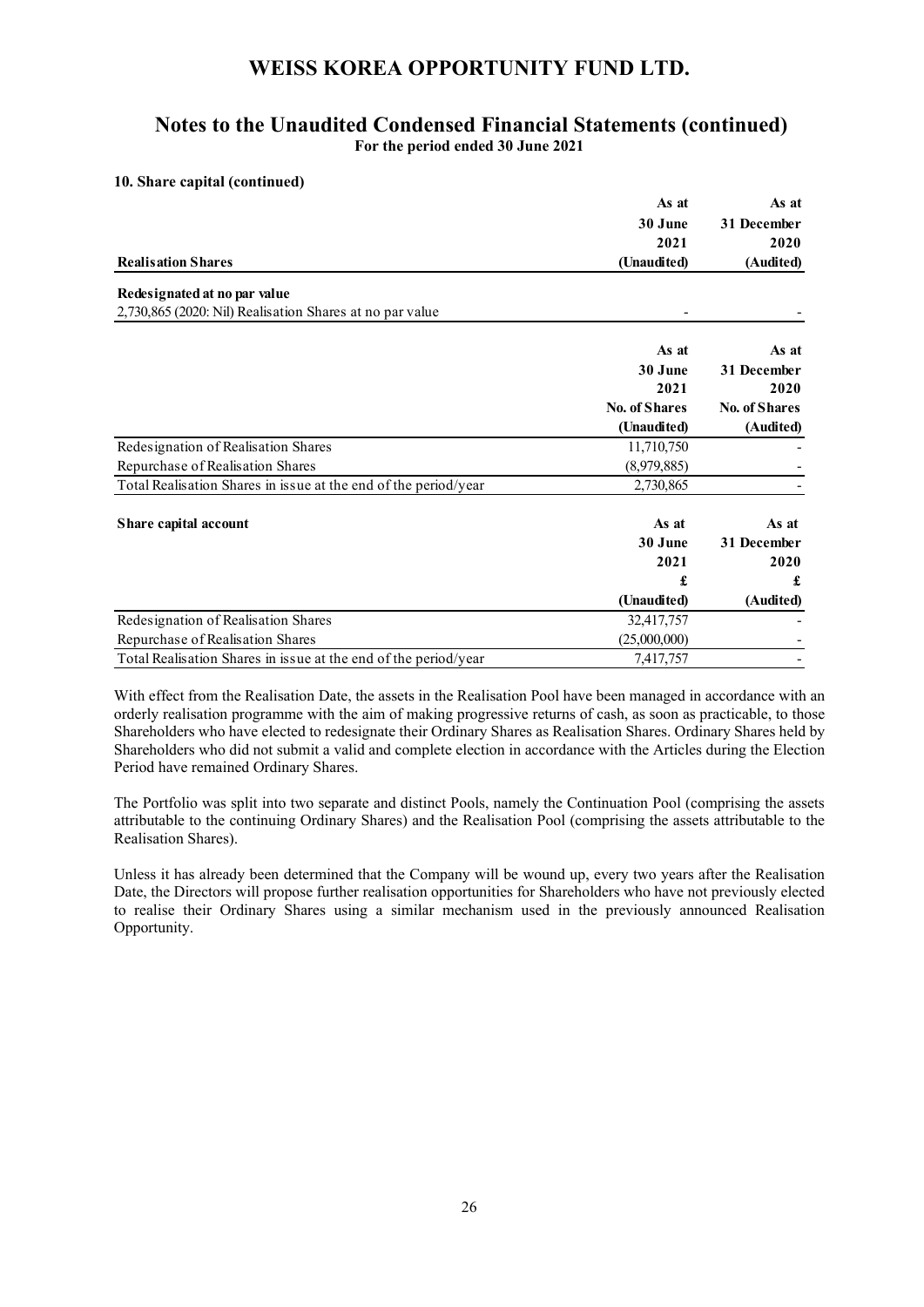## **Notes to the Unaudited Condensed Financial Statements (continued) For the period ended 30 June 2021**

### **10. Share capital (continued)**

|                                                                 | As at                | As at                |
|-----------------------------------------------------------------|----------------------|----------------------|
|                                                                 | 30 June              | 31 December          |
|                                                                 | 2021                 | 2020                 |
| <b>Realisation Shares</b>                                       | (Unaudited)          | (Audited)            |
| Redesignated at no par value                                    |                      |                      |
| 2,730,865 (2020: Nil) Realisation Shares at no par value        |                      |                      |
|                                                                 | As at                | As at                |
|                                                                 | 30 June              | 31 December          |
|                                                                 | 2021                 | 2020                 |
|                                                                 | <b>No. of Shares</b> | <b>No. of Shares</b> |
|                                                                 | (Unaudited)          | (Audited)            |
| Redesignation of Realisation Shares                             | 11,710,750           |                      |
| Repurchase of Realisation Shares                                | (8,979,885)          |                      |
| Total Realisation Shares in issue at the end of the period/year | 2,730,865            |                      |
| Share capital account                                           | As at                | As at                |
|                                                                 | 30 June              | 31 December          |
|                                                                 | 2021                 | 2020                 |
|                                                                 | £                    | £                    |
|                                                                 | (Unaudited)          | (Audited)            |
| Redesignation of Realisation Shares                             | 32,417,757           |                      |
| Repurchase of Realisation Shares                                | (25,000,000)         |                      |
| Total Realisation Shares in issue at the end of the period/year | 7,417,757            |                      |

With effect from the Realisation Date, the assets in the Realisation Pool have been managed in accordance with an orderly realisation programme with the aim of making progressive returns of cash, as soon as practicable, to those Shareholders who have elected to redesignate their Ordinary Shares as Realisation Shares. Ordinary Shares held by Shareholders who did not submit a valid and complete election in accordance with the Articles during the Election Period have remained Ordinary Shares.

The Portfolio was split into two separate and distinct Pools, namely the Continuation Pool (comprising the assets attributable to the continuing Ordinary Shares) and the Realisation Pool (comprising the assets attributable to the Realisation Shares).

Unless it has already been determined that the Company will be wound up, every two years after the Realisation Date, the Directors will propose further realisation opportunities for Shareholders who have not previously elected to realise their Ordinary Shares using a similar mechanism used in the previously announced Realisation Opportunity.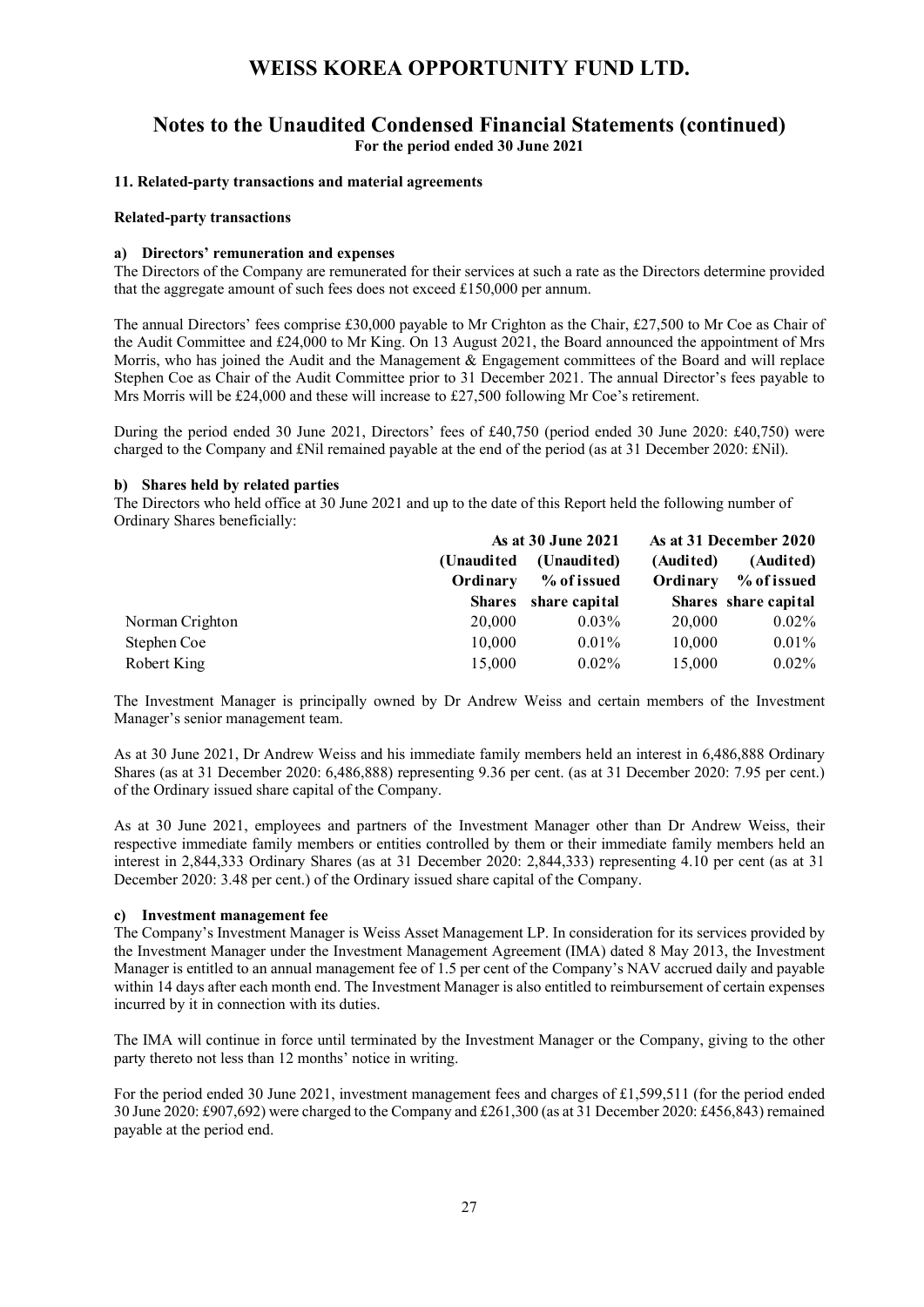## **Notes to the Unaudited Condensed Financial Statements (continued) For the period ended 30 June 2021**

#### **11. Related-party transactions and material agreements**

#### **Related-party transactions**

### **a) Directors' remuneration and expenses**

The Directors of the Company are remunerated for their services at such a rate as the Directors determine provided that the aggregate amount of such fees does not exceed £150,000 per annum.

The annual Directors' fees comprise £30,000 payable to Mr Crighton as the Chair, £27,500 to Mr Coe as Chair of the Audit Committee and £24,000 to Mr King. On 13 August 2021, the Board announced the appointment of Mrs Morris, who has joined the Audit and the Management & Engagement committees of the Board and will replace Stephen Coe as Chair of the Audit Committee prior to 31 December 2021. The annual Director's fees payable to Mrs Morris will be £24,000 and these will increase to £27,500 following Mr Coe's retirement.

During the period ended 30 June 2021, Directors' fees of £40,750 (period ended 30 June 2020: £40,750) were charged to the Company and £Nil remained payable at the end of the period (as at 31 December 2020: £Nil).

### **b) Shares held by related parties**

The Directors who held office at 30 June 2021 and up to the date of this Report held the following number of Ordinary Shares beneficially:

|                 | As at 30 June 2021      |                            | As at 31 December 2020 |                          |
|-----------------|-------------------------|----------------------------|------------------------|--------------------------|
|                 | (Unaudited)<br>Ordinary | (Unaudited)<br>% of issued | (Audited)<br>Ordinary  | (Audited)<br>% of issued |
|                 | <b>Shares</b>           | share capital              |                        | Shares share capital     |
| Norman Crighton | 20,000                  | $0.03\%$                   | 20,000                 | $0.02\%$                 |
| Stephen Coe     | 10,000                  | $0.01\%$                   | 10,000                 | $0.01\%$                 |
| Robert King     | 15,000                  | $0.02\%$                   | 15,000                 | $0.02\%$                 |

The Investment Manager is principally owned by Dr Andrew Weiss and certain members of the Investment Manager's senior management team.

As at 30 June 2021, Dr Andrew Weiss and his immediate family members held an interest in 6,486,888 Ordinary Shares (as at 31 December 2020: 6,486,888) representing 9.36 per cent. (as at 31 December 2020: 7.95 per cent.) of the Ordinary issued share capital of the Company.

As at 30 June 2021, employees and partners of the Investment Manager other than Dr Andrew Weiss, their respective immediate family members or entities controlled by them or their immediate family members held an interest in 2,844,333 Ordinary Shares (as at 31 December 2020: 2,844,333) representing 4.10 per cent (as at 31 December 2020: 3.48 per cent.) of the Ordinary issued share capital of the Company.

### **c) Investment management fee**

The Company's Investment Manager is Weiss Asset Management LP. In consideration for its services provided by the Investment Manager under the Investment Management Agreement (IMA) dated 8 May 2013, the Investment Manager is entitled to an annual management fee of 1.5 per cent of the Company's NAV accrued daily and payable within 14 days after each month end. The Investment Manager is also entitled to reimbursement of certain expenses incurred by it in connection with its duties.

The IMA will continue in force until terminated by the Investment Manager or the Company, giving to the other party thereto not less than 12 months' notice in writing.

For the period ended 30 June 2021, investment management fees and charges of £1,599,511 (for the period ended 30 June 2020: £907,692) were charged to the Company and £261,300 (as at 31 December 2020: £456,843) remained payable at the period end.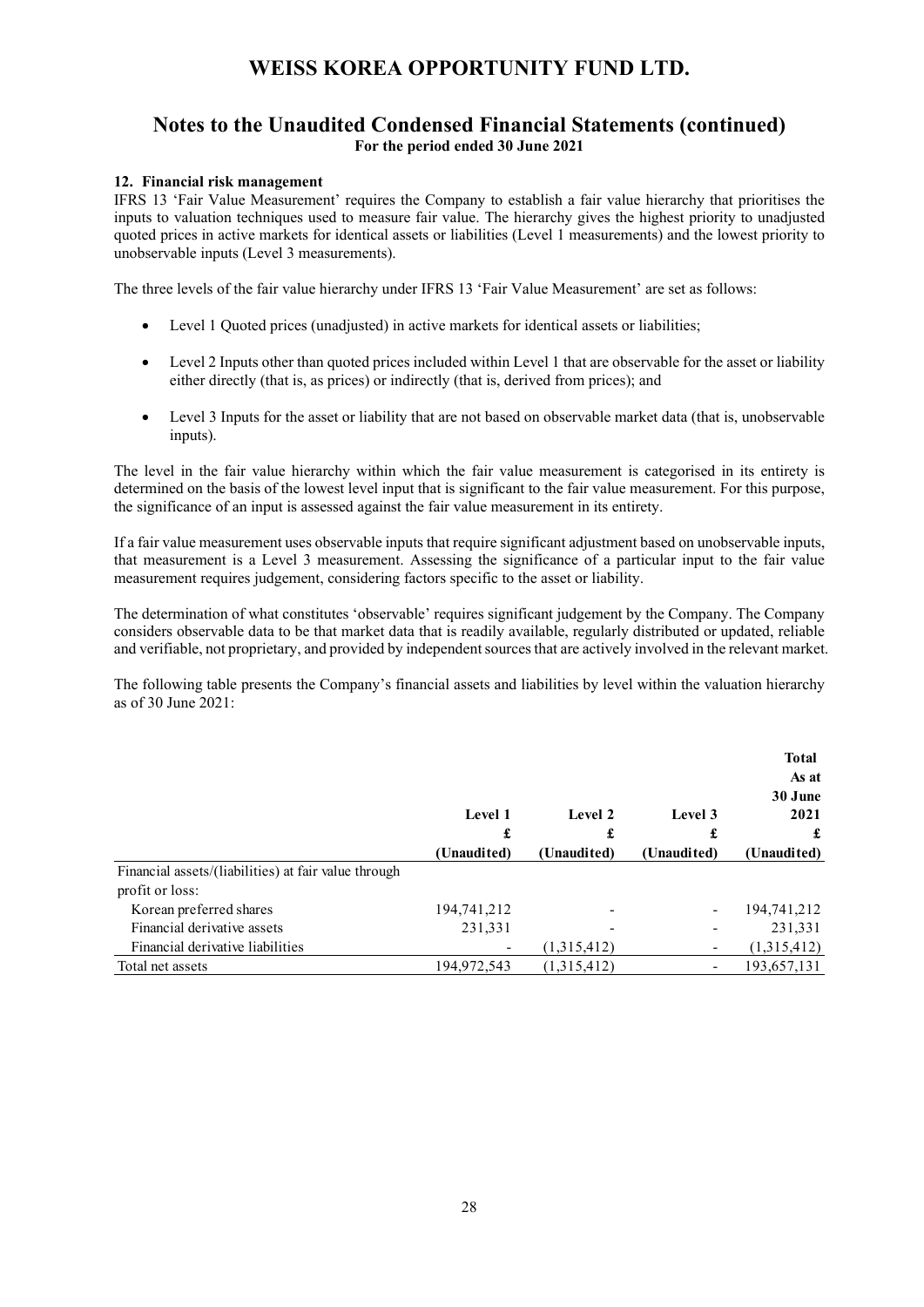## **Notes to the Unaudited Condensed Financial Statements (continued) For the period ended 30 June 2021**

### **12. Financial risk management**

IFRS 13 'Fair Value Measurement' requires the Company to establish a fair value hierarchy that prioritises the inputs to valuation techniques used to measure fair value. The hierarchy gives the highest priority to unadjusted quoted prices in active markets for identical assets or liabilities (Level 1 measurements) and the lowest priority to unobservable inputs (Level 3 measurements).

The three levels of the fair value hierarchy under IFRS 13 'Fair Value Measurement' are set as follows:

- Level 1 Quoted prices (unadjusted) in active markets for identical assets or liabilities;
- Level 2 Inputs other than quoted prices included within Level 1 that are observable for the asset or liability either directly (that is, as prices) or indirectly (that is, derived from prices); and
- Level 3 Inputs for the asset or liability that are not based on observable market data (that is, unobservable inputs).

The level in the fair value hierarchy within which the fair value measurement is categorised in its entirety is determined on the basis of the lowest level input that is significant to the fair value measurement. For this purpose, the significance of an input is assessed against the fair value measurement in its entirety.

If a fair value measurement uses observable inputs that require significant adjustment based on unobservable inputs, that measurement is a Level 3 measurement. Assessing the significance of a particular input to the fair value measurement requires judgement, considering factors specific to the asset or liability.

The determination of what constitutes 'observable' requires significant judgement by the Company. The Company considers observable data to be that market data that is readily available, regularly distributed or updated, reliable and verifiable, not proprietary, and provided by independent sources that are actively involved in the relevant market.

The following table presents the Company's financial assets and liabilities by level within the valuation hierarchy as of 30 June 2021:

|                                                                         | Level 1<br>£<br>(Unaudited) | Level 2<br>£<br>(Unaudited) | Level 3<br>£<br>(Unaudited) | <b>Total</b><br>As at<br>30 June<br>2021<br>£<br>(Unaudited) |
|-------------------------------------------------------------------------|-----------------------------|-----------------------------|-----------------------------|--------------------------------------------------------------|
|                                                                         |                             |                             |                             |                                                              |
|                                                                         |                             |                             |                             |                                                              |
| Financial assets/(liabilities) at fair value through<br>profit or loss: |                             |                             |                             |                                                              |
| Korean preferred shares                                                 | 194,741,212                 |                             |                             | 194,741,212                                                  |
| Financial derivative assets                                             | 231,331                     |                             |                             | 231,331                                                      |
| Financial derivative liabilities                                        |                             | (1,315,412)                 |                             | (1,315,412)                                                  |
| Total net assets                                                        | 194,972,543                 | (1,315,412)                 |                             | 193,657,131                                                  |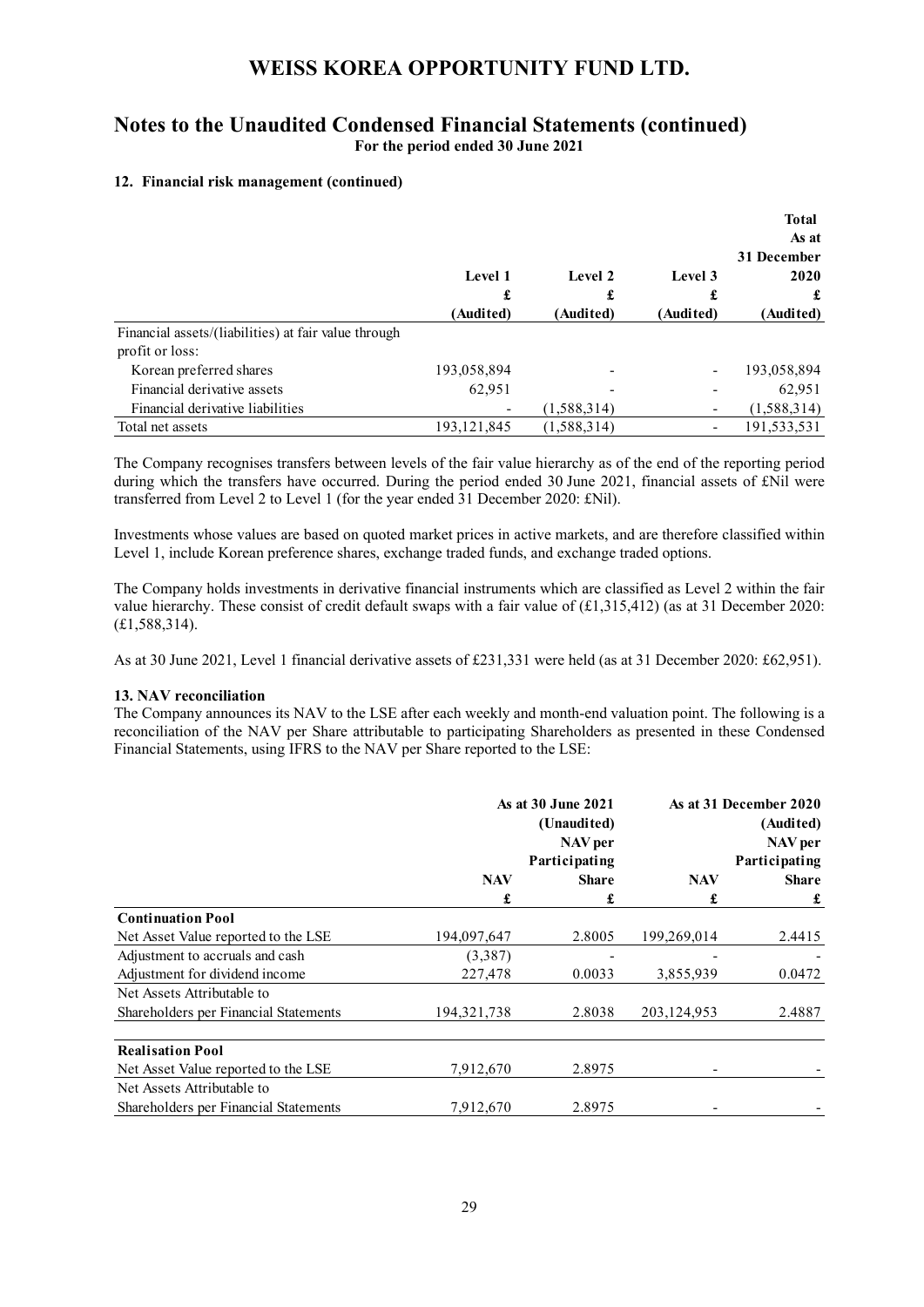## **Notes to the Unaudited Condensed Financial Statements (continued) For the period ended 30 June 2021**

### **12. Financial risk management (continued)**

|                                                      |                           |             |                      | <b>Total</b>           |
|------------------------------------------------------|---------------------------|-------------|----------------------|------------------------|
|                                                      |                           |             |                      | As at                  |
|                                                      | Level 1<br>£<br>(Audited) |             |                      | 31 December            |
|                                                      |                           | Level 2     | Level 3<br>(Audited) | 2020<br>£<br>(Audited) |
|                                                      |                           | £           |                      |                        |
|                                                      |                           | (Audited)   |                      |                        |
| Financial assets/(liabilities) at fair value through |                           |             |                      |                        |
| profit or loss:                                      |                           |             |                      |                        |
| Korean preferred shares                              | 193,058,894               |             |                      | 193,058,894            |
| Financial derivative assets                          | 62,951                    |             |                      | 62,951                 |
| Financial derivative liabilities                     |                           | (1,588,314) |                      | (1,588,314)            |
| Total net assets                                     | 193, 121, 845             | (1,588,314) |                      | 191,533,531            |

The Company recognises transfers between levels of the fair value hierarchy as of the end of the reporting period during which the transfers have occurred. During the period ended 30 June 2021, financial assets of £Nil were transferred from Level 2 to Level 1 (for the year ended 31 December 2020: £Nil).

Investments whose values are based on quoted market prices in active markets, and are therefore classified within Level 1, include Korean preference shares, exchange traded funds, and exchange traded options.

The Company holds investments in derivative financial instruments which are classified as Level 2 within the fair value hierarchy. These consist of credit default swaps with a fair value of (£1,315,412) (as at 31 December 2020: (£1,588,314).

As at 30 June 2021, Level 1 financial derivative assets of £231,331 were held (as at 31 December 2020: £62,951).

#### **13. NAV reconciliation**

The Company announces its NAV to the LSE after each weekly and month-end valuation point. The following is a reconciliation of the NAV per Share attributable to participating Shareholders as presented in these Condensed Financial Statements, using IFRS to the NAV per Share reported to the LSE:

|                                       | As at 30 June 2021<br>(Unaudited)<br>NAV per<br>Participating |        | As at 31 December 2020<br>(Audited)<br>NAV per<br>Participating |              |
|---------------------------------------|---------------------------------------------------------------|--------|-----------------------------------------------------------------|--------------|
|                                       | <b>NAV</b>                                                    | Share  | <b>NAV</b>                                                      | <b>Share</b> |
|                                       | £                                                             | £      | £                                                               | £            |
| <b>Continuation Pool</b>              |                                                               |        |                                                                 |              |
| Net Asset Value reported to the LSE   | 194,097,647                                                   | 2.8005 | 199,269,014                                                     | 2.4415       |
| Adjustment to accruals and cash       | (3,387)                                                       |        |                                                                 |              |
| Adjustment for dividend income        | 227,478                                                       | 0.0033 | 3,855,939                                                       | 0.0472       |
| Net Assets Attributable to            |                                                               |        |                                                                 |              |
| Shareholders per Financial Statements | 194, 321, 738                                                 | 2.8038 | 203, 124, 953                                                   | 2.4887       |
| <b>Realisation Pool</b>               |                                                               |        |                                                                 |              |
| Net Asset Value reported to the LSE   | 7,912,670                                                     | 2.8975 |                                                                 |              |
| Net Assets Attributable to            |                                                               |        |                                                                 |              |
| Shareholders per Financial Statements | 7,912,670                                                     | 2.8975 |                                                                 |              |